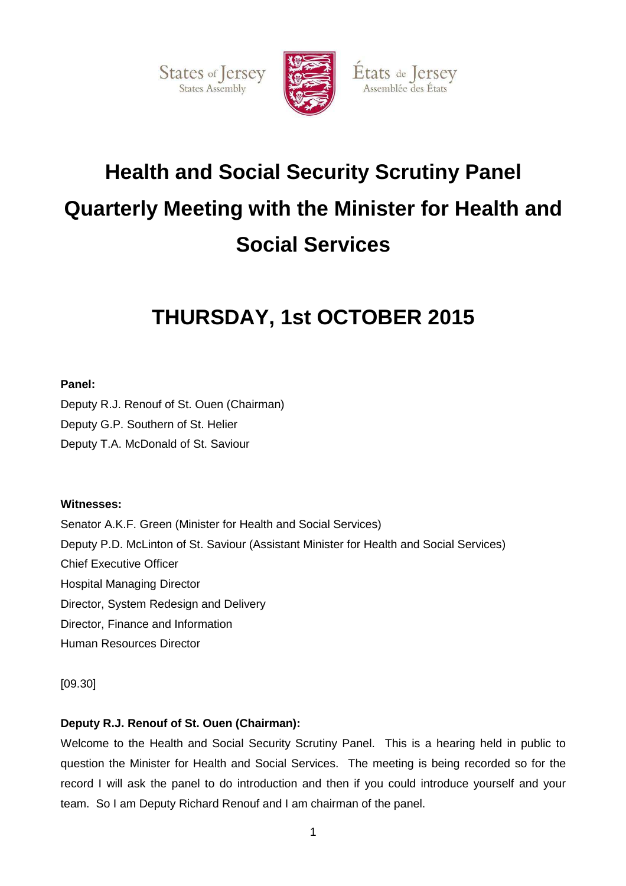



États de Jersey

Assemblée des États

# **Health and Social Security Scrutiny Panel Quarterly Meeting with the Minister for Health and Social Services**

# **THURSDAY, 1st OCTOBER 2015**

## **Panel:**

Deputy R.J. Renouf of St. Ouen (Chairman)

Deputy G.P. Southern of St. Helier

Deputy T.A. McDonald of St. Saviour

## **Witnesses:**

Senator A.K.F. Green (Minister for Health and Social Services) Deputy P.D. McLinton of St. Saviour (Assistant Minister for Health and Social Services) Chief Executive Officer Hospital Managing Director Director, System Redesign and Delivery Director, Finance and Information Human Resources Director

[09.30]

## **Deputy R.J. Renouf of St. Ouen (Chairman):**

Welcome to the Health and Social Security Scrutiny Panel. This is a hearing held in public to question the Minister for Health and Social Services. The meeting is being recorded so for the record I will ask the panel to do introduction and then if you could introduce yourself and your team. So I am Deputy Richard Renouf and I am chairman of the panel.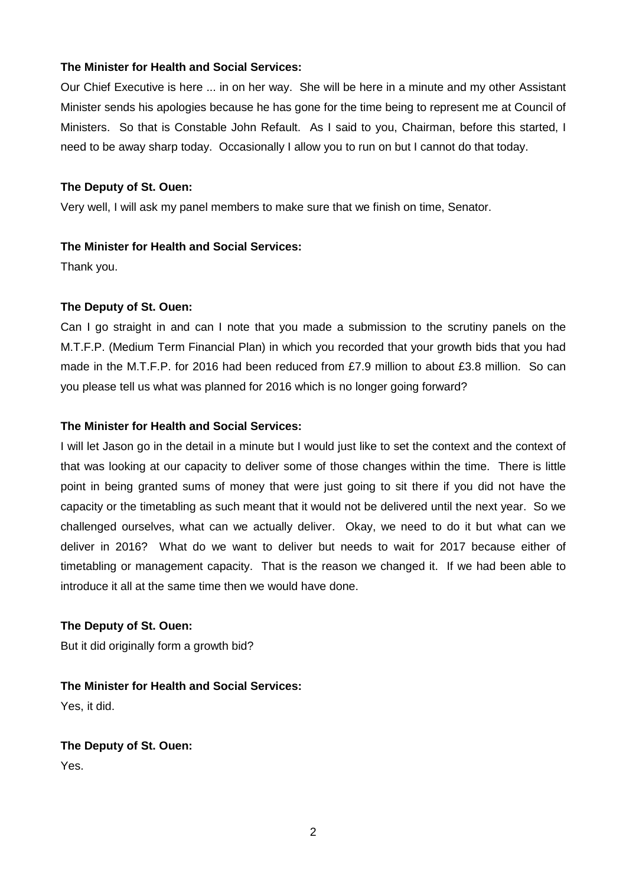Our Chief Executive is here ... in on her way. She will be here in a minute and my other Assistant Minister sends his apologies because he has gone for the time being to represent me at Council of Ministers. So that is Constable John Refault. As I said to you, Chairman, before this started, I need to be away sharp today. Occasionally I allow you to run on but I cannot do that today.

#### **The Deputy of St. Ouen:**

Very well, I will ask my panel members to make sure that we finish on time, Senator.

#### **The Minister for Health and Social Services:**

Thank you.

#### **The Deputy of St. Ouen:**

Can I go straight in and can I note that you made a submission to the scrutiny panels on the M.T.F.P. (Medium Term Financial Plan) in which you recorded that your growth bids that you had made in the M.T.F.P. for 2016 had been reduced from £7.9 million to about £3.8 million. So can you please tell us what was planned for 2016 which is no longer going forward?

#### **The Minister for Health and Social Services:**

I will let Jason go in the detail in a minute but I would just like to set the context and the context of that was looking at our capacity to deliver some of those changes within the time. There is little point in being granted sums of money that were just going to sit there if you did not have the capacity or the timetabling as such meant that it would not be delivered until the next year. So we challenged ourselves, what can we actually deliver. Okay, we need to do it but what can we deliver in 2016? What do we want to deliver but needs to wait for 2017 because either of timetabling or management capacity. That is the reason we changed it. If we had been able to introduce it all at the same time then we would have done.

#### **The Deputy of St. Ouen:**

But it did originally form a growth bid?

**The Minister for Health and Social Services:** 

Yes, it did.

## **The Deputy of St. Ouen:**

Yes.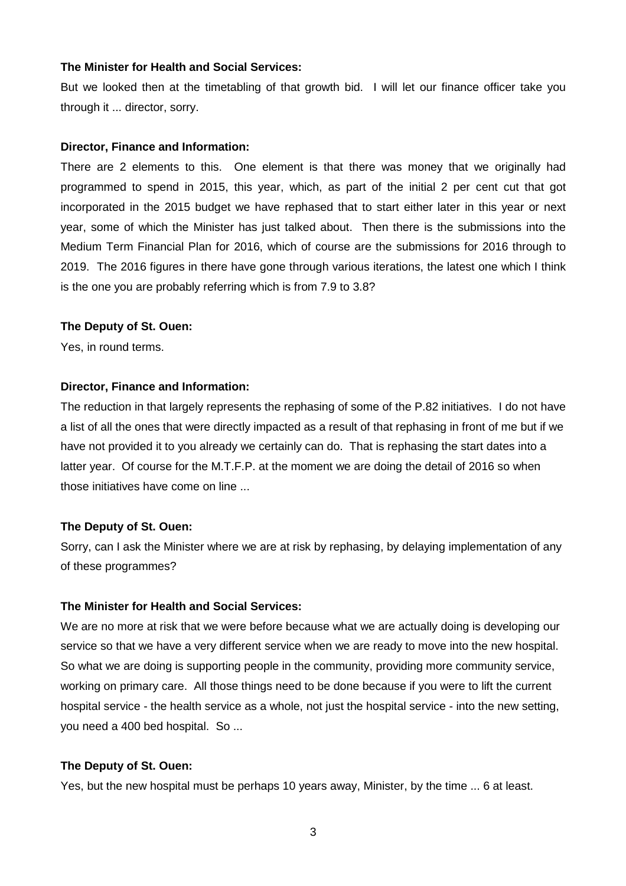But we looked then at the timetabling of that growth bid. I will let our finance officer take you through it ... director, sorry.

#### **Director, Finance and Information:**

There are 2 elements to this. One element is that there was money that we originally had programmed to spend in 2015, this year, which, as part of the initial 2 per cent cut that got incorporated in the 2015 budget we have rephased that to start either later in this year or next year, some of which the Minister has just talked about. Then there is the submissions into the Medium Term Financial Plan for 2016, which of course are the submissions for 2016 through to 2019. The 2016 figures in there have gone through various iterations, the latest one which I think is the one you are probably referring which is from 7.9 to 3.8?

#### **The Deputy of St. Ouen:**

Yes, in round terms.

#### **Director, Finance and Information:**

The reduction in that largely represents the rephasing of some of the P.82 initiatives. I do not have a list of all the ones that were directly impacted as a result of that rephasing in front of me but if we have not provided it to you already we certainly can do. That is rephasing the start dates into a latter year. Of course for the M.T.F.P. at the moment we are doing the detail of 2016 so when those initiatives have come on line ...

#### **The Deputy of St. Ouen:**

Sorry, can I ask the Minister where we are at risk by rephasing, by delaying implementation of any of these programmes?

#### **The Minister for Health and Social Services:**

We are no more at risk that we were before because what we are actually doing is developing our service so that we have a very different service when we are ready to move into the new hospital. So what we are doing is supporting people in the community, providing more community service, working on primary care. All those things need to be done because if you were to lift the current hospital service - the health service as a whole, not just the hospital service - into the new setting, you need a 400 bed hospital. So ...

#### **The Deputy of St. Ouen:**

Yes, but the new hospital must be perhaps 10 years away, Minister, by the time ... 6 at least.

3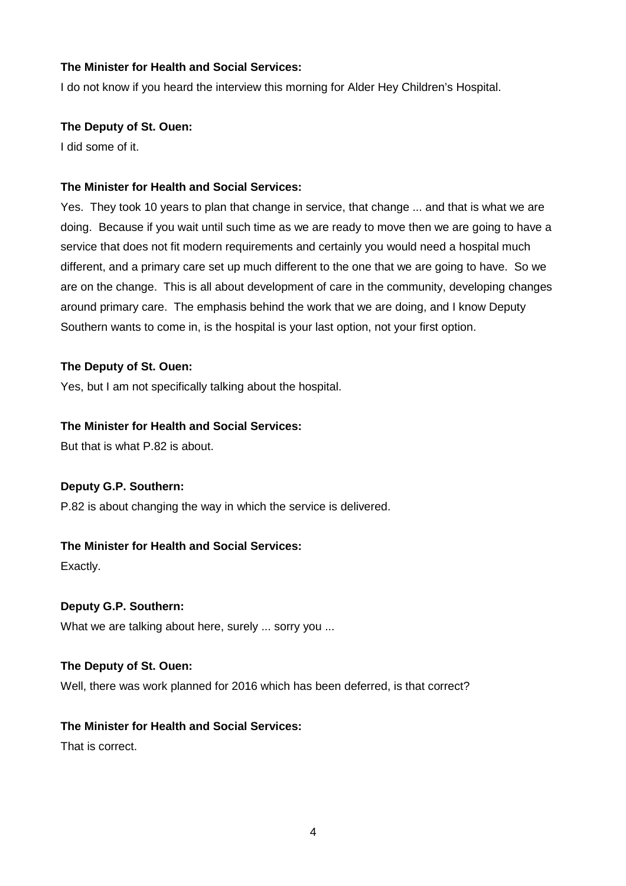I do not know if you heard the interview this morning for Alder Hey Children's Hospital.

## **The Deputy of St. Ouen:**

I did some of it.

## **The Minister for Health and Social Services:**

Yes. They took 10 years to plan that change in service, that change ... and that is what we are doing. Because if you wait until such time as we are ready to move then we are going to have a service that does not fit modern requirements and certainly you would need a hospital much different, and a primary care set up much different to the one that we are going to have. So we are on the change. This is all about development of care in the community, developing changes around primary care. The emphasis behind the work that we are doing, and I know Deputy Southern wants to come in, is the hospital is your last option, not your first option.

## **The Deputy of St. Ouen:**

Yes, but I am not specifically talking about the hospital.

## **The Minister for Health and Social Services:**

But that is what P.82 is about.

## **Deputy G.P. Southern:**

P.82 is about changing the way in which the service is delivered.

## **The Minister for Health and Social Services:**

Exactly.

## **Deputy G.P. Southern:**

What we are talking about here, surely ... sorry you ...

#### **The Deputy of St. Ouen:**

Well, there was work planned for 2016 which has been deferred, is that correct?

## **The Minister for Health and Social Services:**

That is correct.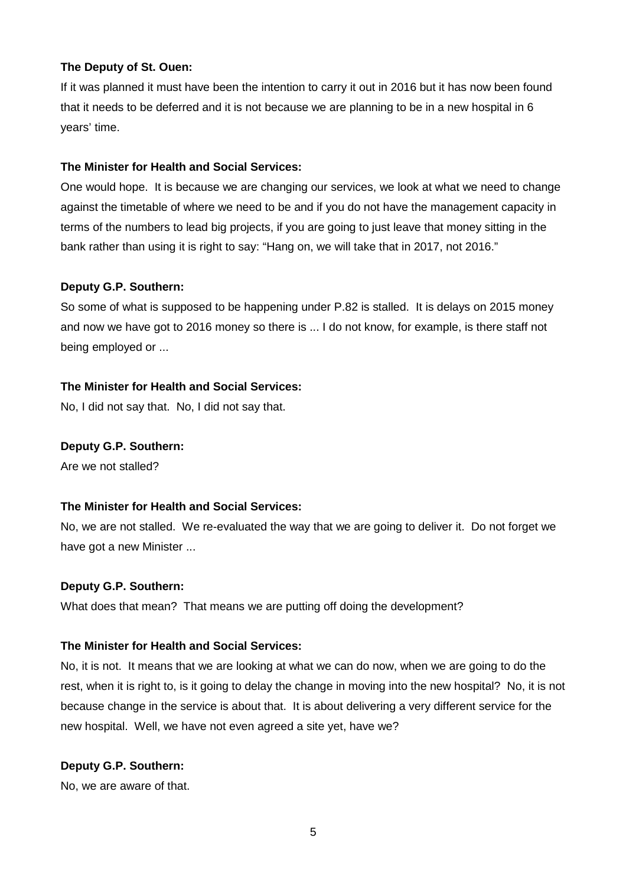If it was planned it must have been the intention to carry it out in 2016 but it has now been found that it needs to be deferred and it is not because we are planning to be in a new hospital in 6 years' time.

## **The Minister for Health and Social Services:**

One would hope. It is because we are changing our services, we look at what we need to change against the timetable of where we need to be and if you do not have the management capacity in terms of the numbers to lead big projects, if you are going to just leave that money sitting in the bank rather than using it is right to say: "Hang on, we will take that in 2017, not 2016."

## **Deputy G.P. Southern:**

So some of what is supposed to be happening under P.82 is stalled. It is delays on 2015 money and now we have got to 2016 money so there is ... I do not know, for example, is there staff not being employed or ...

## **The Minister for Health and Social Services:**

No, I did not say that. No, I did not say that.

## **Deputy G.P. Southern:**

Are we not stalled?

## **The Minister for Health and Social Services:**

No, we are not stalled. We re-evaluated the way that we are going to deliver it. Do not forget we have got a new Minister ...

#### **Deputy G.P. Southern:**

What does that mean? That means we are putting off doing the development?

#### **The Minister for Health and Social Services:**

No, it is not. It means that we are looking at what we can do now, when we are going to do the rest, when it is right to, is it going to delay the change in moving into the new hospital? No, it is not because change in the service is about that. It is about delivering a very different service for the new hospital. Well, we have not even agreed a site yet, have we?

## **Deputy G.P. Southern:**

No, we are aware of that.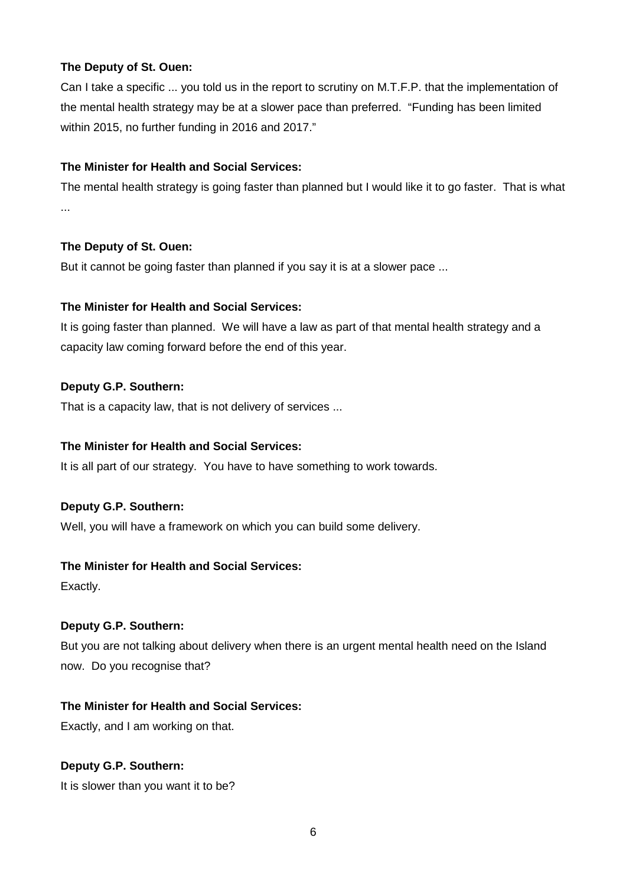Can I take a specific ... you told us in the report to scrutiny on M.T.F.P. that the implementation of the mental health strategy may be at a slower pace than preferred. "Funding has been limited within 2015, no further funding in 2016 and 2017."

## **The Minister for Health and Social Services:**

The mental health strategy is going faster than planned but I would like it to go faster. That is what ...

## **The Deputy of St. Ouen:**

But it cannot be going faster than planned if you say it is at a slower pace ...

## **The Minister for Health and Social Services:**

It is going faster than planned. We will have a law as part of that mental health strategy and a capacity law coming forward before the end of this year.

## **Deputy G.P. Southern:**

That is a capacity law, that is not delivery of services ...

#### **The Minister for Health and Social Services:**

It is all part of our strategy. You have to have something to work towards.

#### **Deputy G.P. Southern:**

Well, you will have a framework on which you can build some delivery.

#### **The Minister for Health and Social Services:**

Exactly.

#### **Deputy G.P. Southern:**

But you are not talking about delivery when there is an urgent mental health need on the Island now. Do you recognise that?

#### **The Minister for Health and Social Services:**

Exactly, and I am working on that.

## **Deputy G.P. Southern:**

It is slower than you want it to be?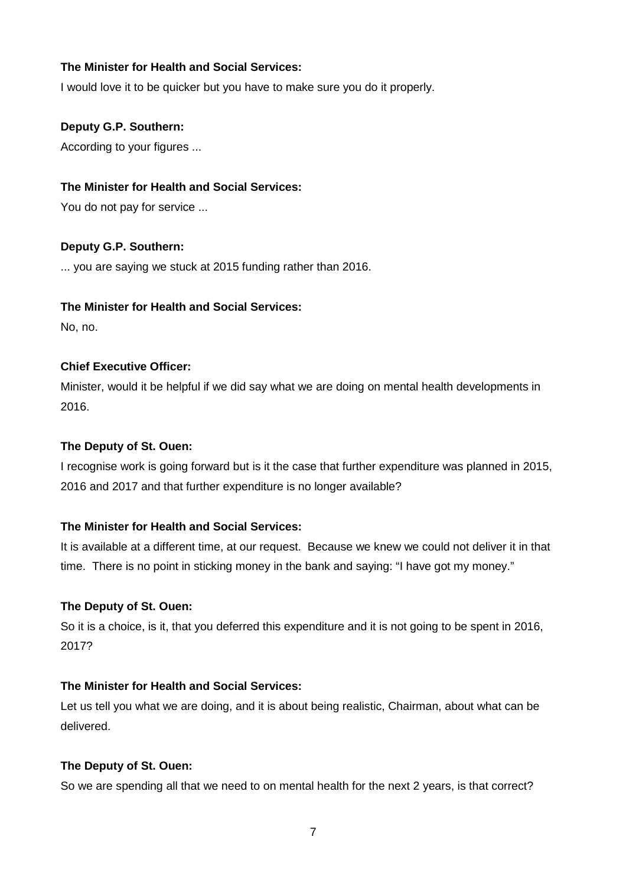I would love it to be quicker but you have to make sure you do it properly.

#### **Deputy G.P. Southern:**

According to your figures ...

#### **The Minister for Health and Social Services:**

You do not pay for service ...

## **Deputy G.P. Southern:**

... you are saying we stuck at 2015 funding rather than 2016.

#### **The Minister for Health and Social Services:**

No, no.

## **Chief Executive Officer:**

Minister, would it be helpful if we did say what we are doing on mental health developments in 2016.

## **The Deputy of St. Ouen:**

I recognise work is going forward but is it the case that further expenditure was planned in 2015, 2016 and 2017 and that further expenditure is no longer available?

## **The Minister for Health and Social Services:**

It is available at a different time, at our request. Because we knew we could not deliver it in that time. There is no point in sticking money in the bank and saying: "I have got my money."

#### **The Deputy of St. Ouen:**

So it is a choice, is it, that you deferred this expenditure and it is not going to be spent in 2016, 2017?

## **The Minister for Health and Social Services:**

Let us tell you what we are doing, and it is about being realistic, Chairman, about what can be delivered.

#### **The Deputy of St. Ouen:**

So we are spending all that we need to on mental health for the next 2 years, is that correct?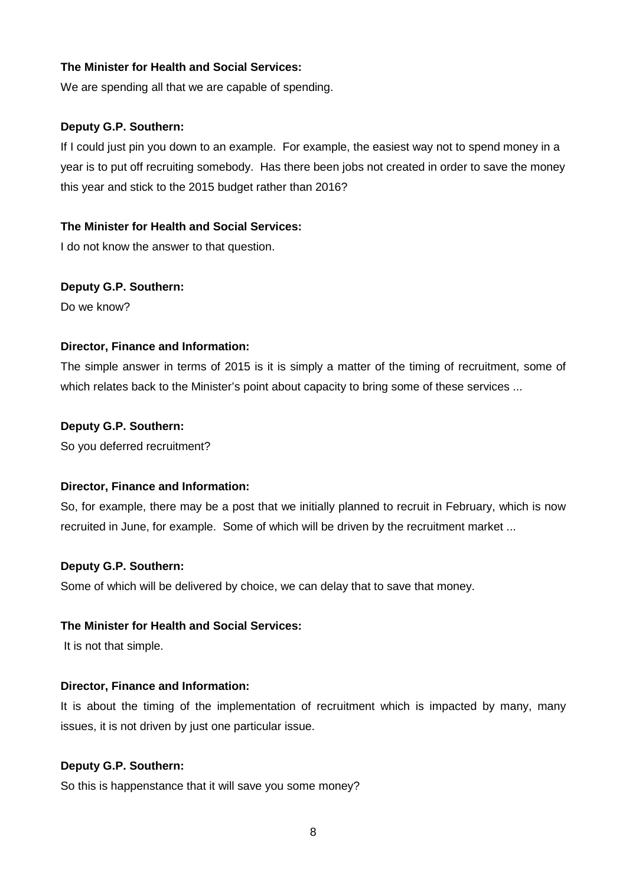We are spending all that we are capable of spending.

#### **Deputy G.P. Southern:**

If I could just pin you down to an example. For example, the easiest way not to spend money in a year is to put off recruiting somebody. Has there been jobs not created in order to save the money this year and stick to the 2015 budget rather than 2016?

#### **The Minister for Health and Social Services:**

I do not know the answer to that question.

#### **Deputy G.P. Southern:**

Do we know?

#### **Director, Finance and Information:**

The simple answer in terms of 2015 is it is simply a matter of the timing of recruitment, some of which relates back to the Minister's point about capacity to bring some of these services ...

#### **Deputy G.P. Southern:**

So you deferred recruitment?

#### **Director, Finance and Information:**

So, for example, there may be a post that we initially planned to recruit in February, which is now recruited in June, for example. Some of which will be driven by the recruitment market ...

#### **Deputy G.P. Southern:**

Some of which will be delivered by choice, we can delay that to save that money.

#### **The Minister for Health and Social Services:**

It is not that simple.

#### **Director, Finance and Information:**

It is about the timing of the implementation of recruitment which is impacted by many, many issues, it is not driven by just one particular issue.

#### **Deputy G.P. Southern:**

So this is happenstance that it will save you some money?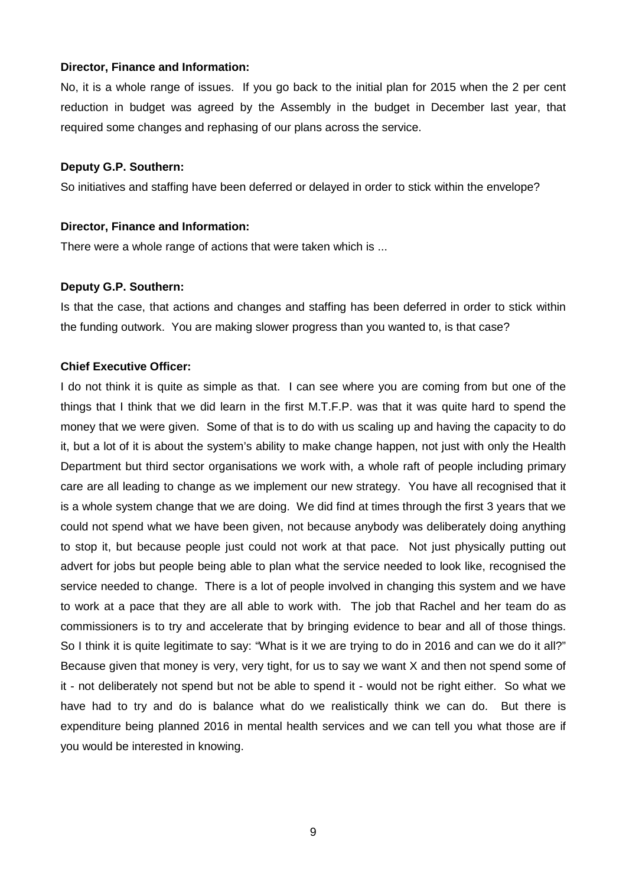#### **Director, Finance and Information:**

No, it is a whole range of issues. If you go back to the initial plan for 2015 when the 2 per cent reduction in budget was agreed by the Assembly in the budget in December last year, that required some changes and rephasing of our plans across the service.

#### **Deputy G.P. Southern:**

So initiatives and staffing have been deferred or delayed in order to stick within the envelope?

#### **Director, Finance and Information:**

There were a whole range of actions that were taken which is ...

#### **Deputy G.P. Southern:**

Is that the case, that actions and changes and staffing has been deferred in order to stick within the funding outwork. You are making slower progress than you wanted to, is that case?

#### **Chief Executive Officer:**

I do not think it is quite as simple as that. I can see where you are coming from but one of the things that I think that we did learn in the first M.T.F.P. was that it was quite hard to spend the money that we were given. Some of that is to do with us scaling up and having the capacity to do it, but a lot of it is about the system's ability to make change happen, not just with only the Health Department but third sector organisations we work with, a whole raft of people including primary care are all leading to change as we implement our new strategy. You have all recognised that it is a whole system change that we are doing. We did find at times through the first 3 years that we could not spend what we have been given, not because anybody was deliberately doing anything to stop it, but because people just could not work at that pace. Not just physically putting out advert for jobs but people being able to plan what the service needed to look like, recognised the service needed to change. There is a lot of people involved in changing this system and we have to work at a pace that they are all able to work with. The job that Rachel and her team do as commissioners is to try and accelerate that by bringing evidence to bear and all of those things. So I think it is quite legitimate to say: "What is it we are trying to do in 2016 and can we do it all?" Because given that money is very, very tight, for us to say we want X and then not spend some of it - not deliberately not spend but not be able to spend it - would not be right either. So what we have had to try and do is balance what do we realistically think we can do. But there is expenditure being planned 2016 in mental health services and we can tell you what those are if you would be interested in knowing.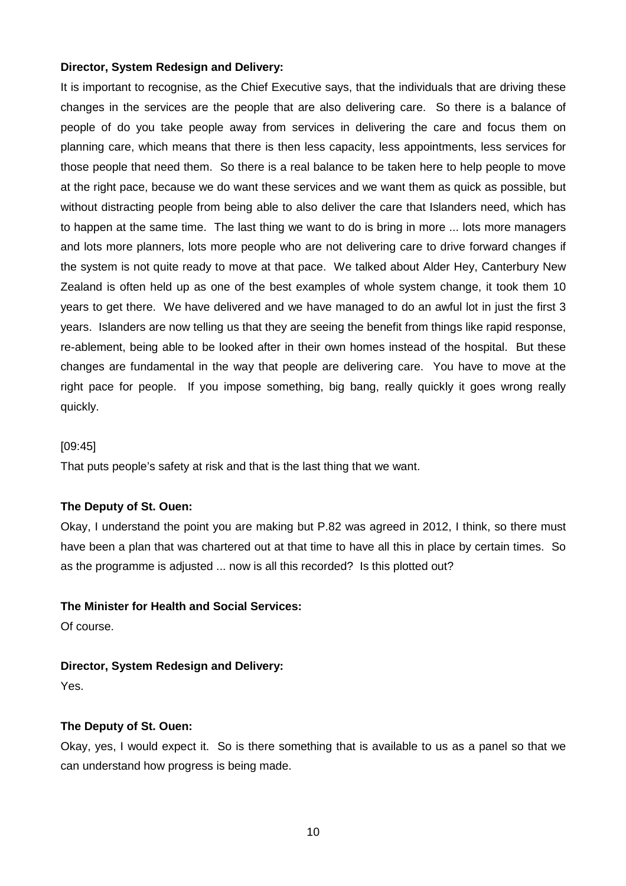#### **Director, System Redesign and Delivery:**

It is important to recognise, as the Chief Executive says, that the individuals that are driving these changes in the services are the people that are also delivering care. So there is a balance of people of do you take people away from services in delivering the care and focus them on planning care, which means that there is then less capacity, less appointments, less services for those people that need them. So there is a real balance to be taken here to help people to move at the right pace, because we do want these services and we want them as quick as possible, but without distracting people from being able to also deliver the care that Islanders need, which has to happen at the same time. The last thing we want to do is bring in more ... lots more managers and lots more planners, lots more people who are not delivering care to drive forward changes if the system is not quite ready to move at that pace. We talked about Alder Hey, Canterbury New Zealand is often held up as one of the best examples of whole system change, it took them 10 years to get there. We have delivered and we have managed to do an awful lot in just the first 3 years. Islanders are now telling us that they are seeing the benefit from things like rapid response, re-ablement, being able to be looked after in their own homes instead of the hospital. But these changes are fundamental in the way that people are delivering care. You have to move at the right pace for people. If you impose something, big bang, really quickly it goes wrong really quickly.

#### [09:45]

That puts people's safety at risk and that is the last thing that we want.

#### **The Deputy of St. Ouen:**

Okay, I understand the point you are making but P.82 was agreed in 2012, I think, so there must have been a plan that was chartered out at that time to have all this in place by certain times. So as the programme is adjusted ... now is all this recorded? Is this plotted out?

#### **The Minister for Health and Social Services:**

Of course.

#### **Director, System Redesign and Delivery:**

Yes.

#### **The Deputy of St. Ouen:**

Okay, yes, I would expect it. So is there something that is available to us as a panel so that we can understand how progress is being made.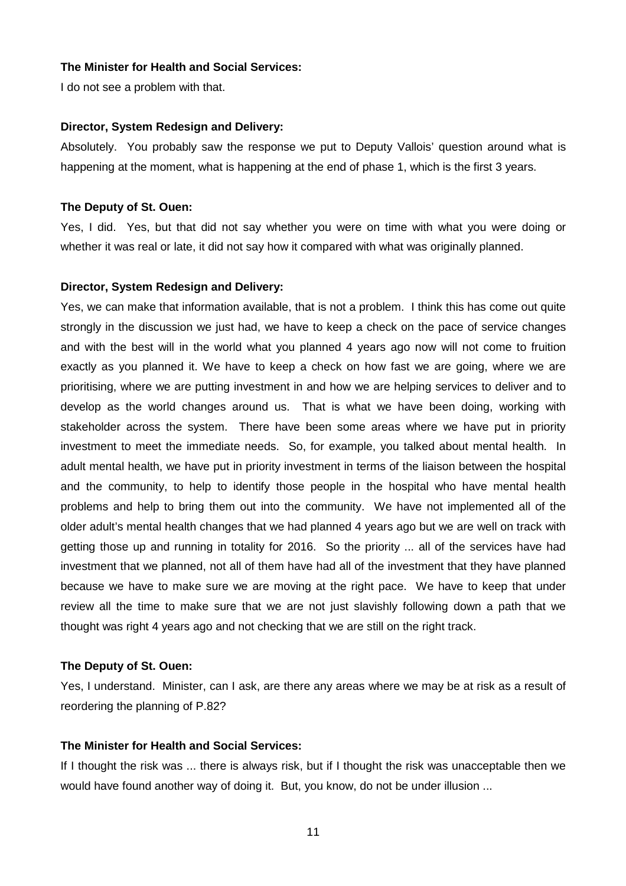I do not see a problem with that.

#### **Director, System Redesign and Delivery:**

Absolutely. You probably saw the response we put to Deputy Vallois' question around what is happening at the moment, what is happening at the end of phase 1, which is the first 3 years.

#### **The Deputy of St. Ouen:**

Yes, I did. Yes, but that did not say whether you were on time with what you were doing or whether it was real or late, it did not say how it compared with what was originally planned.

#### **Director, System Redesign and Delivery:**

Yes, we can make that information available, that is not a problem. I think this has come out quite strongly in the discussion we just had, we have to keep a check on the pace of service changes and with the best will in the world what you planned 4 years ago now will not come to fruition exactly as you planned it. We have to keep a check on how fast we are going, where we are prioritising, where we are putting investment in and how we are helping services to deliver and to develop as the world changes around us. That is what we have been doing, working with stakeholder across the system. There have been some areas where we have put in priority investment to meet the immediate needs. So, for example, you talked about mental health. In adult mental health, we have put in priority investment in terms of the liaison between the hospital and the community, to help to identify those people in the hospital who have mental health problems and help to bring them out into the community. We have not implemented all of the older adult's mental health changes that we had planned 4 years ago but we are well on track with getting those up and running in totality for 2016. So the priority ... all of the services have had investment that we planned, not all of them have had all of the investment that they have planned because we have to make sure we are moving at the right pace. We have to keep that under review all the time to make sure that we are not just slavishly following down a path that we thought was right 4 years ago and not checking that we are still on the right track.

#### **The Deputy of St. Ouen:**

Yes, I understand. Minister, can I ask, are there any areas where we may be at risk as a result of reordering the planning of P.82?

## **The Minister for Health and Social Services:**

If I thought the risk was ... there is always risk, but if I thought the risk was unacceptable then we would have found another way of doing it. But, you know, do not be under illusion ...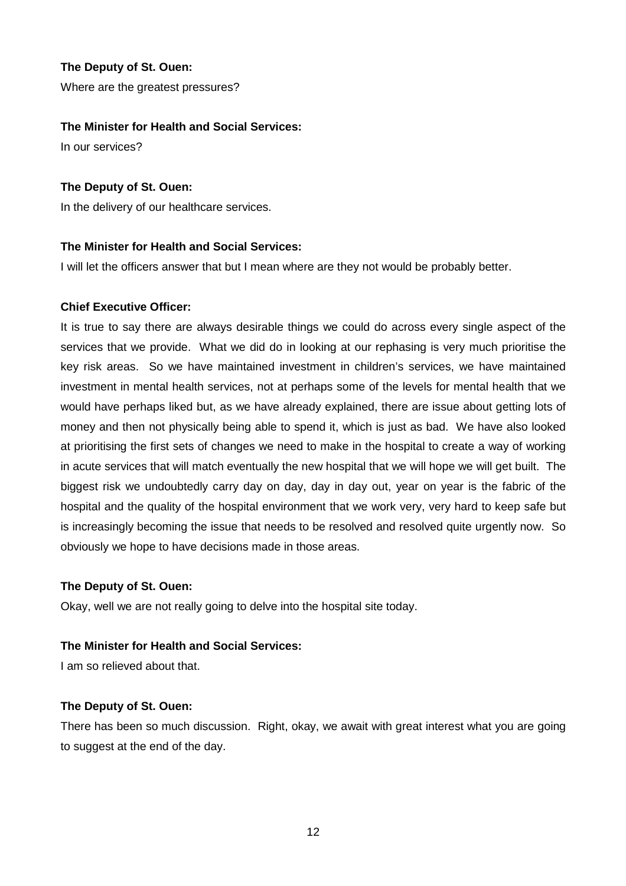Where are the greatest pressures?

#### **The Minister for Health and Social Services:**

In our services?

#### **The Deputy of St. Ouen:**

In the delivery of our healthcare services.

#### **The Minister for Health and Social Services:**

I will let the officers answer that but I mean where are they not would be probably better.

#### **Chief Executive Officer:**

It is true to say there are always desirable things we could do across every single aspect of the services that we provide. What we did do in looking at our rephasing is very much prioritise the key risk areas. So we have maintained investment in children's services, we have maintained investment in mental health services, not at perhaps some of the levels for mental health that we would have perhaps liked but, as we have already explained, there are issue about getting lots of money and then not physically being able to spend it, which is just as bad. We have also looked at prioritising the first sets of changes we need to make in the hospital to create a way of working in acute services that will match eventually the new hospital that we will hope we will get built. The biggest risk we undoubtedly carry day on day, day in day out, year on year is the fabric of the hospital and the quality of the hospital environment that we work very, very hard to keep safe but is increasingly becoming the issue that needs to be resolved and resolved quite urgently now. So obviously we hope to have decisions made in those areas.

#### **The Deputy of St. Ouen:**

Okay, well we are not really going to delve into the hospital site today.

#### **The Minister for Health and Social Services:**

I am so relieved about that.

#### **The Deputy of St. Ouen:**

There has been so much discussion. Right, okay, we await with great interest what you are going to suggest at the end of the day.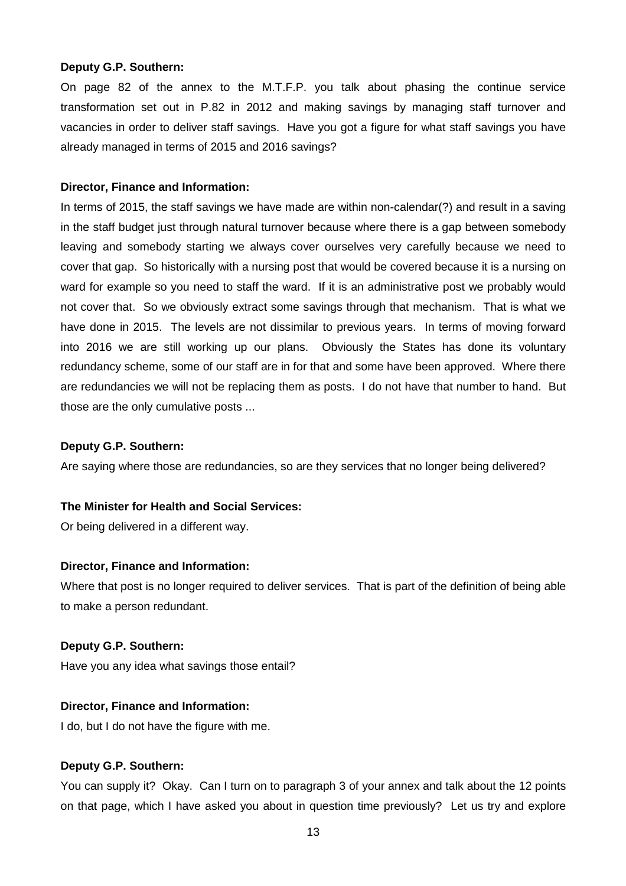#### **Deputy G.P. Southern:**

On page 82 of the annex to the M.T.F.P. you talk about phasing the continue service transformation set out in P.82 in 2012 and making savings by managing staff turnover and vacancies in order to deliver staff savings. Have you got a figure for what staff savings you have already managed in terms of 2015 and 2016 savings?

#### **Director, Finance and Information:**

In terms of 2015, the staff savings we have made are within non-calendar(?) and result in a saving in the staff budget just through natural turnover because where there is a gap between somebody leaving and somebody starting we always cover ourselves very carefully because we need to cover that gap. So historically with a nursing post that would be covered because it is a nursing on ward for example so you need to staff the ward. If it is an administrative post we probably would not cover that. So we obviously extract some savings through that mechanism. That is what we have done in 2015. The levels are not dissimilar to previous years. In terms of moving forward into 2016 we are still working up our plans. Obviously the States has done its voluntary redundancy scheme, some of our staff are in for that and some have been approved. Where there are redundancies we will not be replacing them as posts. I do not have that number to hand. But those are the only cumulative posts ...

#### **Deputy G.P. Southern:**

Are saying where those are redundancies, so are they services that no longer being delivered?

#### **The Minister for Health and Social Services:**

Or being delivered in a different way.

#### **Director, Finance and Information:**

Where that post is no longer required to deliver services. That is part of the definition of being able to make a person redundant.

#### **Deputy G.P. Southern:**

Have you any idea what savings those entail?

#### **Director, Finance and Information:**

I do, but I do not have the figure with me.

#### **Deputy G.P. Southern:**

You can supply it? Okay. Can I turn on to paragraph 3 of your annex and talk about the 12 points on that page, which I have asked you about in question time previously? Let us try and explore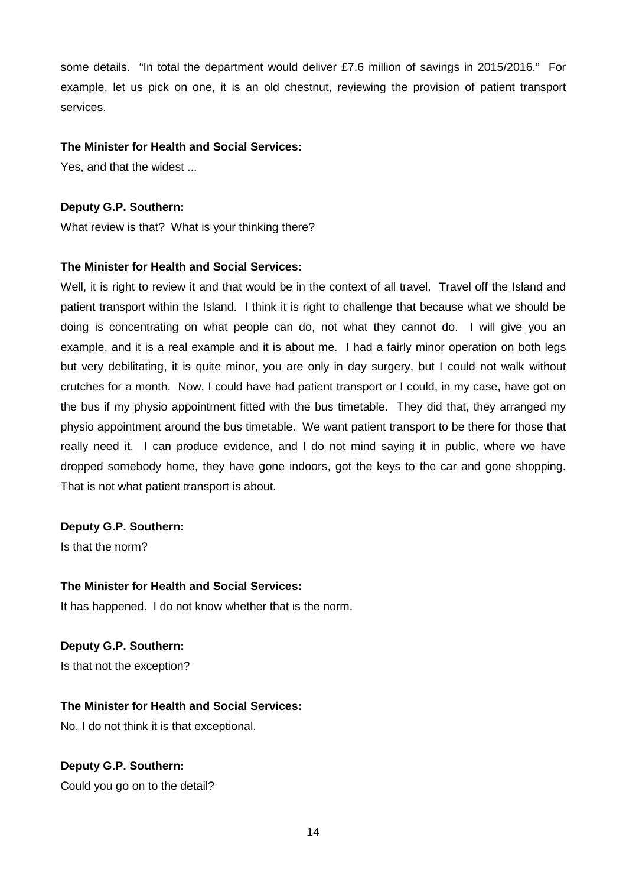some details. "In total the department would deliver £7.6 million of savings in 2015/2016." For example, let us pick on one, it is an old chestnut, reviewing the provision of patient transport services.

#### **The Minister for Health and Social Services:**

Yes, and that the widest ...

#### **Deputy G.P. Southern:**

What review is that? What is your thinking there?

#### **The Minister for Health and Social Services:**

Well, it is right to review it and that would be in the context of all travel. Travel off the Island and patient transport within the Island. I think it is right to challenge that because what we should be doing is concentrating on what people can do, not what they cannot do. I will give you an example, and it is a real example and it is about me. I had a fairly minor operation on both legs but very debilitating, it is quite minor, you are only in day surgery, but I could not walk without crutches for a month. Now, I could have had patient transport or I could, in my case, have got on the bus if my physio appointment fitted with the bus timetable. They did that, they arranged my physio appointment around the bus timetable. We want patient transport to be there for those that really need it. I can produce evidence, and I do not mind saying it in public, where we have dropped somebody home, they have gone indoors, got the keys to the car and gone shopping. That is not what patient transport is about.

#### **Deputy G.P. Southern:**

Is that the norm?

#### **The Minister for Health and Social Services:**

It has happened. I do not know whether that is the norm.

#### **Deputy G.P. Southern:**

Is that not the exception?

#### **The Minister for Health and Social Services:**

No, I do not think it is that exceptional.

#### **Deputy G.P. Southern:**

Could you go on to the detail?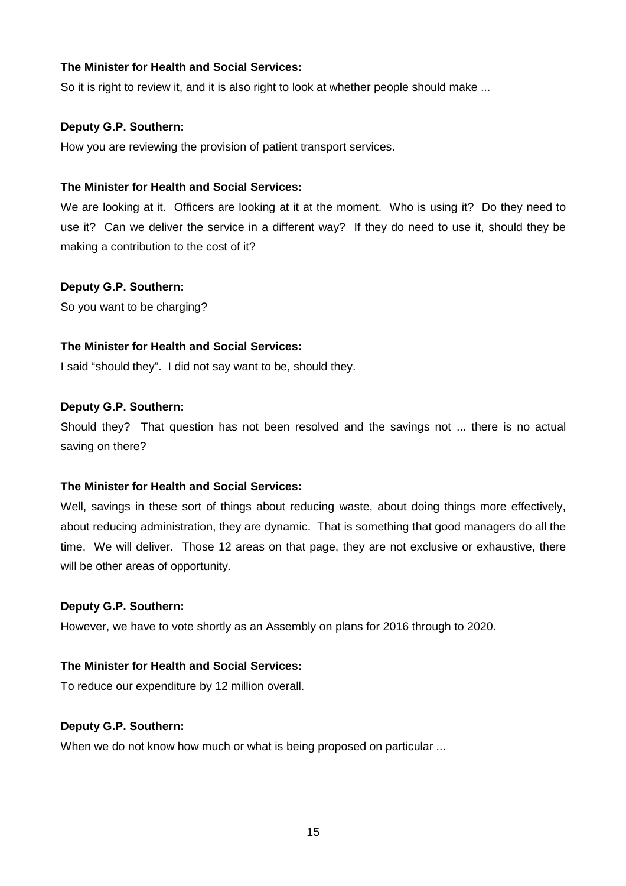So it is right to review it, and it is also right to look at whether people should make ...

#### **Deputy G.P. Southern:**

How you are reviewing the provision of patient transport services.

## **The Minister for Health and Social Services:**

We are looking at it. Officers are looking at it at the moment. Who is using it? Do they need to use it? Can we deliver the service in a different way? If they do need to use it, should they be making a contribution to the cost of it?

## **Deputy G.P. Southern:**

So you want to be charging?

## **The Minister for Health and Social Services:**

I said "should they". I did not say want to be, should they.

## **Deputy G.P. Southern:**

Should they? That question has not been resolved and the savings not ... there is no actual saving on there?

#### **The Minister for Health and Social Services:**

Well, savings in these sort of things about reducing waste, about doing things more effectively, about reducing administration, they are dynamic. That is something that good managers do all the time. We will deliver. Those 12 areas on that page, they are not exclusive or exhaustive, there will be other areas of opportunity.

#### **Deputy G.P. Southern:**

However, we have to vote shortly as an Assembly on plans for 2016 through to 2020.

## **The Minister for Health and Social Services:**

To reduce our expenditure by 12 million overall.

#### **Deputy G.P. Southern:**

When we do not know how much or what is being proposed on particular ...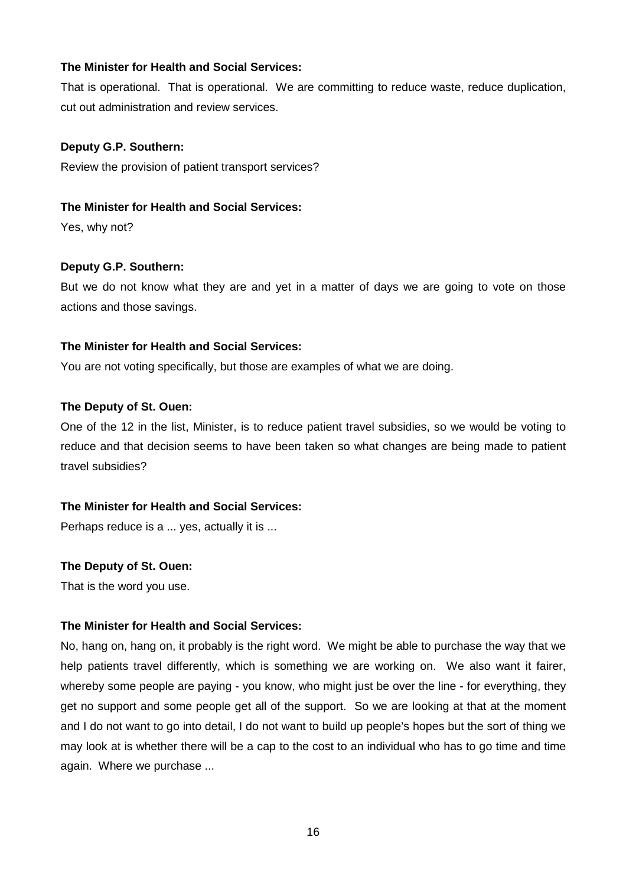That is operational. That is operational. We are committing to reduce waste, reduce duplication, cut out administration and review services.

#### **Deputy G.P. Southern:**

Review the provision of patient transport services?

#### **The Minister for Health and Social Services:**

Yes, why not?

#### **Deputy G.P. Southern:**

But we do not know what they are and yet in a matter of days we are going to vote on those actions and those savings.

#### **The Minister for Health and Social Services:**

You are not voting specifically, but those are examples of what we are doing.

#### **The Deputy of St. Ouen:**

One of the 12 in the list, Minister, is to reduce patient travel subsidies, so we would be voting to reduce and that decision seems to have been taken so what changes are being made to patient travel subsidies?

#### **The Minister for Health and Social Services:**

Perhaps reduce is a ... yes, actually it is ...

#### **The Deputy of St. Ouen:**

That is the word you use.

#### **The Minister for Health and Social Services:**

No, hang on, hang on, it probably is the right word. We might be able to purchase the way that we help patients travel differently, which is something we are working on. We also want it fairer, whereby some people are paying - you know, who might just be over the line - for everything, they get no support and some people get all of the support. So we are looking at that at the moment and I do not want to go into detail, I do not want to build up people's hopes but the sort of thing we may look at is whether there will be a cap to the cost to an individual who has to go time and time again. Where we purchase ...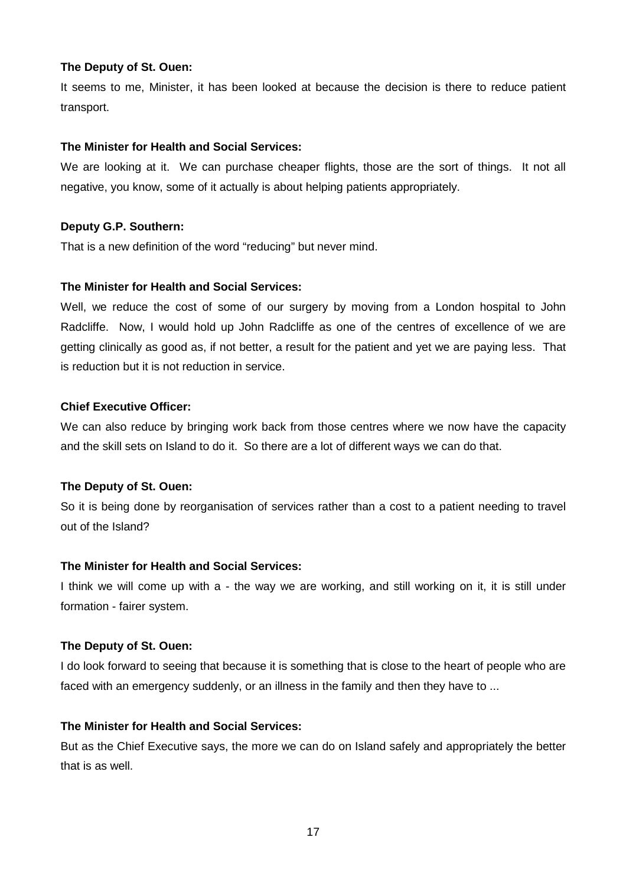It seems to me, Minister, it has been looked at because the decision is there to reduce patient transport.

#### **The Minister for Health and Social Services:**

We are looking at it. We can purchase cheaper flights, those are the sort of things. It not all negative, you know, some of it actually is about helping patients appropriately.

#### **Deputy G.P. Southern:**

That is a new definition of the word "reducing" but never mind.

#### **The Minister for Health and Social Services:**

Well, we reduce the cost of some of our surgery by moving from a London hospital to John Radcliffe. Now, I would hold up John Radcliffe as one of the centres of excellence of we are getting clinically as good as, if not better, a result for the patient and yet we are paying less. That is reduction but it is not reduction in service.

#### **Chief Executive Officer:**

We can also reduce by bringing work back from those centres where we now have the capacity and the skill sets on Island to do it. So there are a lot of different ways we can do that.

#### **The Deputy of St. Ouen:**

So it is being done by reorganisation of services rather than a cost to a patient needing to travel out of the Island?

#### **The Minister for Health and Social Services:**

I think we will come up with a - the way we are working, and still working on it, it is still under formation - fairer system.

#### **The Deputy of St. Ouen:**

I do look forward to seeing that because it is something that is close to the heart of people who are faced with an emergency suddenly, or an illness in the family and then they have to ...

#### **The Minister for Health and Social Services:**

But as the Chief Executive says, the more we can do on Island safely and appropriately the better that is as well.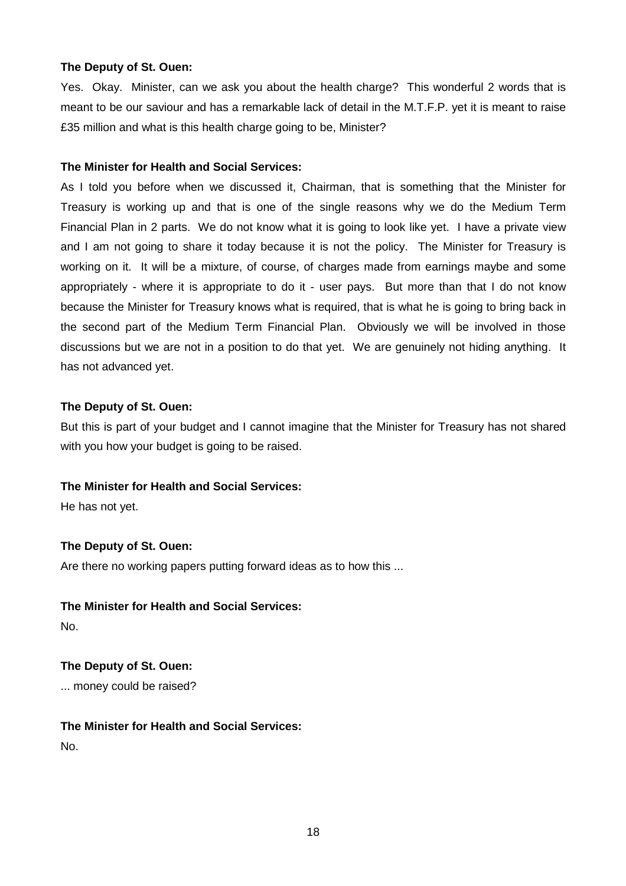Yes. Okay. Minister, can we ask you about the health charge? This wonderful 2 words that is meant to be our saviour and has a remarkable lack of detail in the M.T.F.P. yet it is meant to raise £35 million and what is this health charge going to be, Minister?

#### **The Minister for Health and Social Services:**

As I told you before when we discussed it, Chairman, that is something that the Minister for Treasury is working up and that is one of the single reasons why we do the Medium Term Financial Plan in 2 parts. We do not know what it is going to look like yet. I have a private view and I am not going to share it today because it is not the policy. The Minister for Treasury is working on it. It will be a mixture, of course, of charges made from earnings maybe and some appropriately - where it is appropriate to do it - user pays. But more than that I do not know because the Minister for Treasury knows what is required, that is what he is going to bring back in the second part of the Medium Term Financial Plan. Obviously we will be involved in those discussions but we are not in a position to do that yet. We are genuinely not hiding anything. It has not advanced yet.

#### **The Deputy of St. Ouen:**

But this is part of your budget and I cannot imagine that the Minister for Treasury has not shared with you how your budget is going to be raised.

## **The Minister for Health and Social Services:**

He has not yet.

#### **The Deputy of St. Ouen:**

Are there no working papers putting forward ideas as to how this ...

## **The Minister for Health and Social Services:**

No.

## **The Deputy of St. Ouen:**  ... money could be raised?

## **The Minister for Health and Social Services:**  No.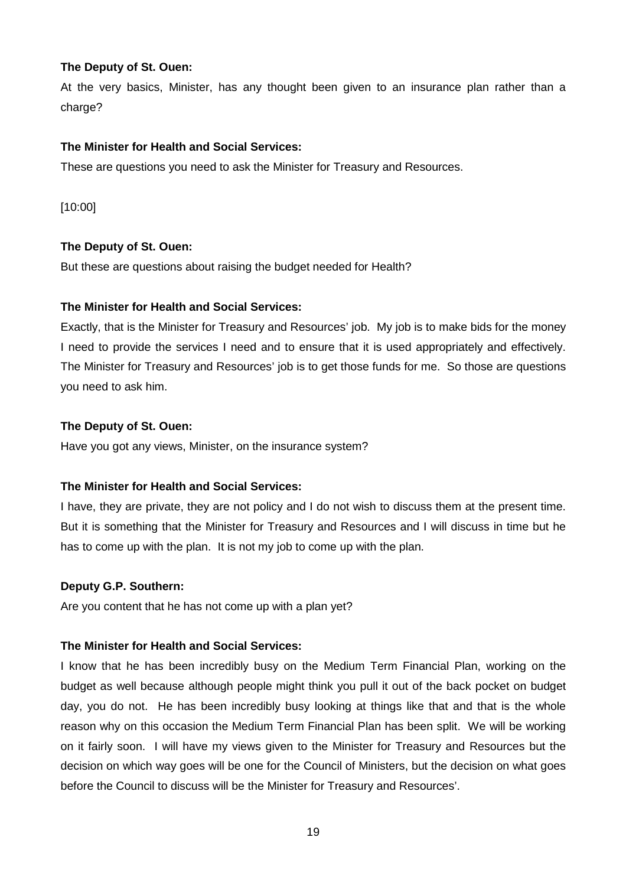At the very basics, Minister, has any thought been given to an insurance plan rather than a charge?

## **The Minister for Health and Social Services:**

These are questions you need to ask the Minister for Treasury and Resources.

[10:00]

## **The Deputy of St. Ouen:**

But these are questions about raising the budget needed for Health?

## **The Minister for Health and Social Services:**

Exactly, that is the Minister for Treasury and Resources' job. My job is to make bids for the money I need to provide the services I need and to ensure that it is used appropriately and effectively. The Minister for Treasury and Resources' job is to get those funds for me. So those are questions you need to ask him.

## **The Deputy of St. Ouen:**

Have you got any views, Minister, on the insurance system?

## **The Minister for Health and Social Services:**

I have, they are private, they are not policy and I do not wish to discuss them at the present time. But it is something that the Minister for Treasury and Resources and I will discuss in time but he has to come up with the plan. It is not my job to come up with the plan.

#### **Deputy G.P. Southern:**

Are you content that he has not come up with a plan yet?

## **The Minister for Health and Social Services:**

I know that he has been incredibly busy on the Medium Term Financial Plan, working on the budget as well because although people might think you pull it out of the back pocket on budget day, you do not. He has been incredibly busy looking at things like that and that is the whole reason why on this occasion the Medium Term Financial Plan has been split. We will be working on it fairly soon. I will have my views given to the Minister for Treasury and Resources but the decision on which way goes will be one for the Council of Ministers, but the decision on what goes before the Council to discuss will be the Minister for Treasury and Resources'.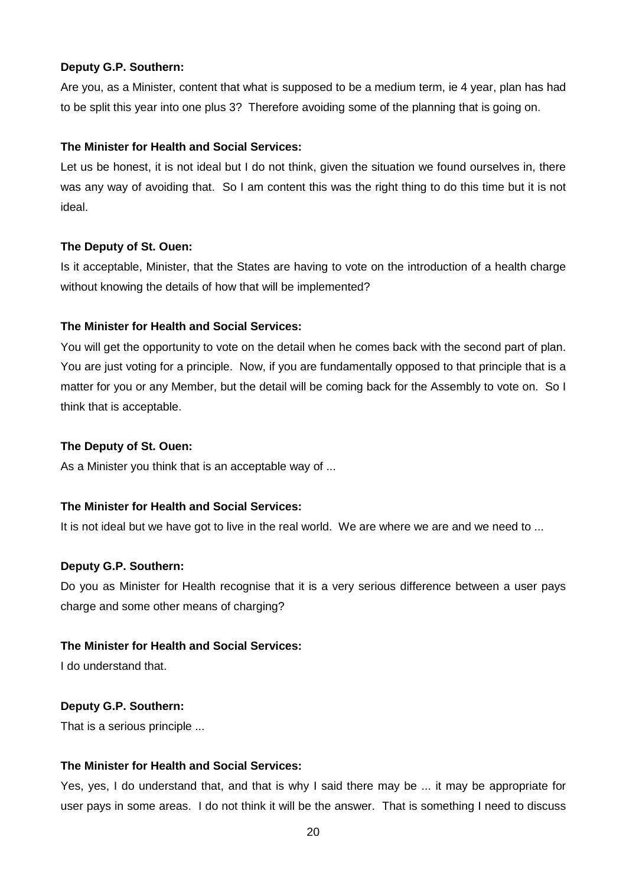#### **Deputy G.P. Southern:**

Are you, as a Minister, content that what is supposed to be a medium term, ie 4 year, plan has had to be split this year into one plus 3? Therefore avoiding some of the planning that is going on.

## **The Minister for Health and Social Services:**

Let us be honest, it is not ideal but I do not think, given the situation we found ourselves in, there was any way of avoiding that. So I am content this was the right thing to do this time but it is not ideal.

#### **The Deputy of St. Ouen:**

Is it acceptable, Minister, that the States are having to vote on the introduction of a health charge without knowing the details of how that will be implemented?

#### **The Minister for Health and Social Services:**

You will get the opportunity to vote on the detail when he comes back with the second part of plan. You are just voting for a principle. Now, if you are fundamentally opposed to that principle that is a matter for you or any Member, but the detail will be coming back for the Assembly to vote on. So I think that is acceptable.

#### **The Deputy of St. Ouen:**

As a Minister you think that is an acceptable way of ...

#### **The Minister for Health and Social Services:**

It is not ideal but we have got to live in the real world. We are where we are and we need to ...

#### **Deputy G.P. Southern:**

Do you as Minister for Health recognise that it is a very serious difference between a user pays charge and some other means of charging?

#### **The Minister for Health and Social Services:**

I do understand that.

#### **Deputy G.P. Southern:**

That is a serious principle ...

## **The Minister for Health and Social Services:**

Yes, yes, I do understand that, and that is why I said there may be ... it may be appropriate for user pays in some areas. I do not think it will be the answer. That is something I need to discuss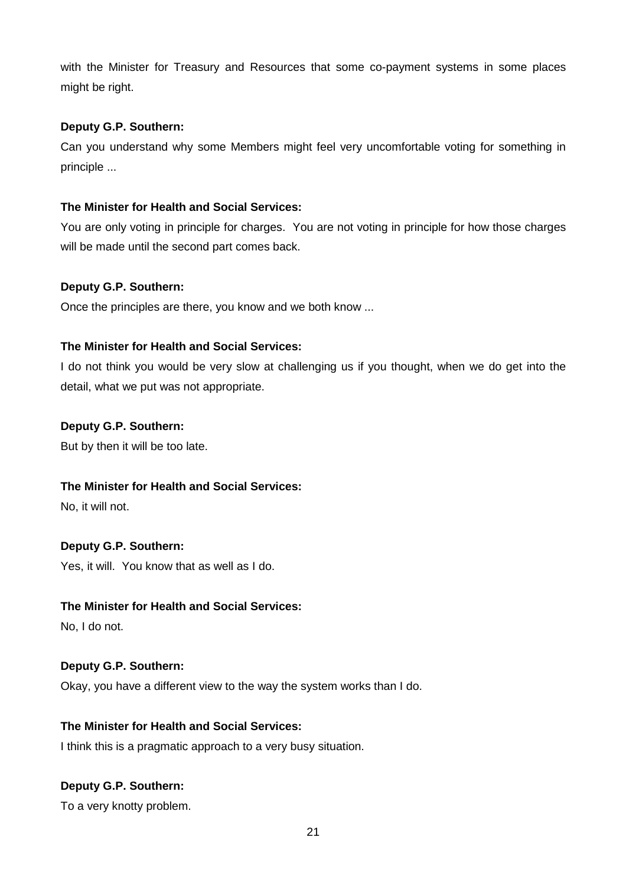with the Minister for Treasury and Resources that some co-payment systems in some places might be right.

## **Deputy G.P. Southern:**

Can you understand why some Members might feel very uncomfortable voting for something in principle ...

## **The Minister for Health and Social Services:**

You are only voting in principle for charges. You are not voting in principle for how those charges will be made until the second part comes back.

## **Deputy G.P. Southern:**

Once the principles are there, you know and we both know ...

## **The Minister for Health and Social Services:**

I do not think you would be very slow at challenging us if you thought, when we do get into the detail, what we put was not appropriate.

## **Deputy G.P. Southern:**

But by then it will be too late.

## **The Minister for Health and Social Services:**

No, it will not.

## **Deputy G.P. Southern:**

Yes, it will. You know that as well as I do.

#### **The Minister for Health and Social Services:**

No, I do not.

#### **Deputy G.P. Southern:**

Okay, you have a different view to the way the system works than I do.

#### **The Minister for Health and Social Services:**

I think this is a pragmatic approach to a very busy situation.

## **Deputy G.P. Southern:**

To a very knotty problem.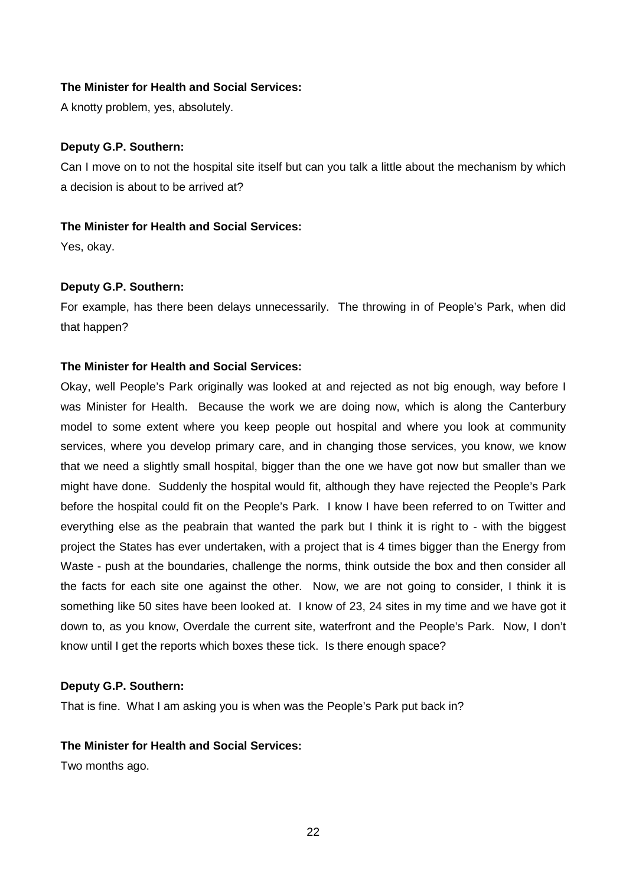A knotty problem, yes, absolutely.

#### **Deputy G.P. Southern:**

Can I move on to not the hospital site itself but can you talk a little about the mechanism by which a decision is about to be arrived at?

#### **The Minister for Health and Social Services:**

Yes, okay.

#### **Deputy G.P. Southern:**

For example, has there been delays unnecessarily. The throwing in of People's Park, when did that happen?

#### **The Minister for Health and Social Services:**

Okay, well People's Park originally was looked at and rejected as not big enough, way before I was Minister for Health. Because the work we are doing now, which is along the Canterbury model to some extent where you keep people out hospital and where you look at community services, where you develop primary care, and in changing those services, you know, we know that we need a slightly small hospital, bigger than the one we have got now but smaller than we might have done. Suddenly the hospital would fit, although they have rejected the People's Park before the hospital could fit on the People's Park. I know I have been referred to on Twitter and everything else as the peabrain that wanted the park but I think it is right to - with the biggest project the States has ever undertaken, with a project that is 4 times bigger than the Energy from Waste - push at the boundaries, challenge the norms, think outside the box and then consider all the facts for each site one against the other. Now, we are not going to consider, I think it is something like 50 sites have been looked at. I know of 23, 24 sites in my time and we have got it down to, as you know, Overdale the current site, waterfront and the People's Park. Now, I don't know until I get the reports which boxes these tick. Is there enough space?

#### **Deputy G.P. Southern:**

That is fine. What I am asking you is when was the People's Park put back in?

#### **The Minister for Health and Social Services:**

Two months ago.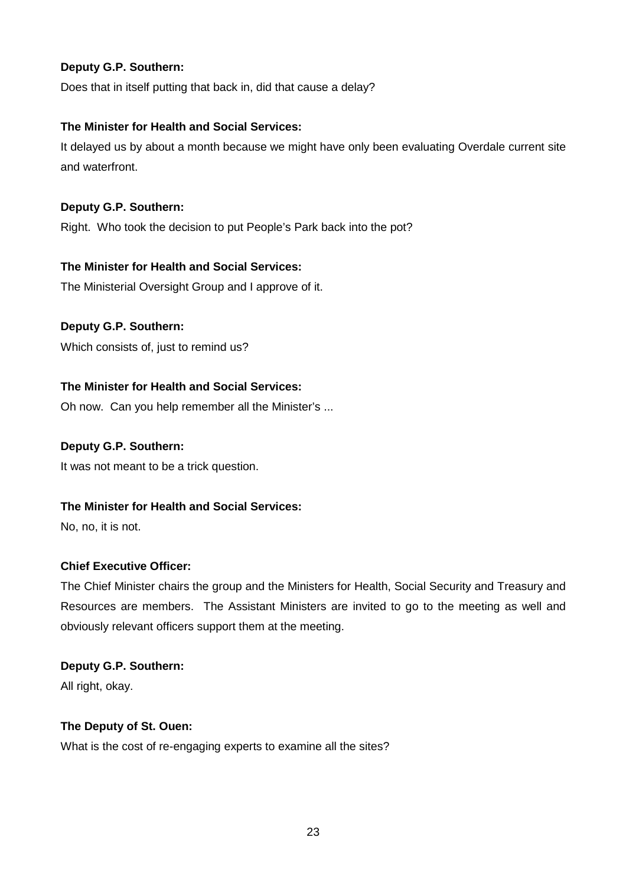## **Deputy G.P. Southern:**

Does that in itself putting that back in, did that cause a delay?

## **The Minister for Health and Social Services:**

It delayed us by about a month because we might have only been evaluating Overdale current site and waterfront.

## **Deputy G.P. Southern:**

Right. Who took the decision to put People's Park back into the pot?

## **The Minister for Health and Social Services:**

The Ministerial Oversight Group and I approve of it.

## **Deputy G.P. Southern:**

Which consists of, just to remind us?

## **The Minister for Health and Social Services:**

Oh now. Can you help remember all the Minister's ...

## **Deputy G.P. Southern:**

It was not meant to be a trick question.

## **The Minister for Health and Social Services:**

No, no, it is not.

## **Chief Executive Officer:**

The Chief Minister chairs the group and the Ministers for Health, Social Security and Treasury and Resources are members. The Assistant Ministers are invited to go to the meeting as well and obviously relevant officers support them at the meeting.

## **Deputy G.P. Southern:**

All right, okay.

#### **The Deputy of St. Ouen:**

What is the cost of re-engaging experts to examine all the sites?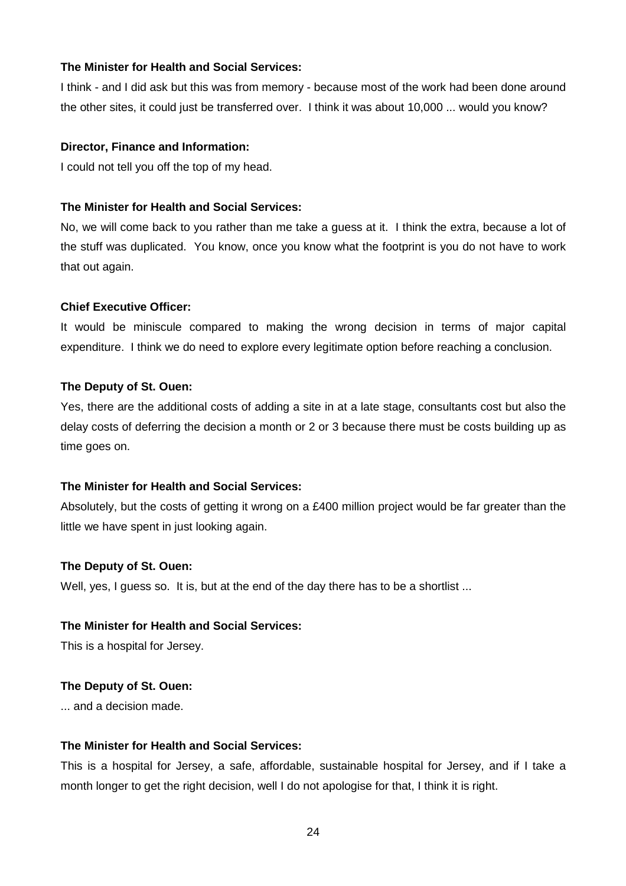I think - and I did ask but this was from memory - because most of the work had been done around the other sites, it could just be transferred over. I think it was about 10,000 ... would you know?

#### **Director, Finance and Information:**

I could not tell you off the top of my head.

#### **The Minister for Health and Social Services:**

No, we will come back to you rather than me take a guess at it. I think the extra, because a lot of the stuff was duplicated. You know, once you know what the footprint is you do not have to work that out again.

#### **Chief Executive Officer:**

It would be miniscule compared to making the wrong decision in terms of major capital expenditure. I think we do need to explore every legitimate option before reaching a conclusion.

#### **The Deputy of St. Ouen:**

Yes, there are the additional costs of adding a site in at a late stage, consultants cost but also the delay costs of deferring the decision a month or 2 or 3 because there must be costs building up as time goes on.

#### **The Minister for Health and Social Services:**

Absolutely, but the costs of getting it wrong on a £400 million project would be far greater than the little we have spent in just looking again.

#### **The Deputy of St. Ouen:**

Well, yes, I guess so. It is, but at the end of the day there has to be a shortlist ...

#### **The Minister for Health and Social Services:**

This is a hospital for Jersey.

#### **The Deputy of St. Ouen:**

... and a decision made.

#### **The Minister for Health and Social Services:**

This is a hospital for Jersey, a safe, affordable, sustainable hospital for Jersey, and if I take a month longer to get the right decision, well I do not apologise for that, I think it is right.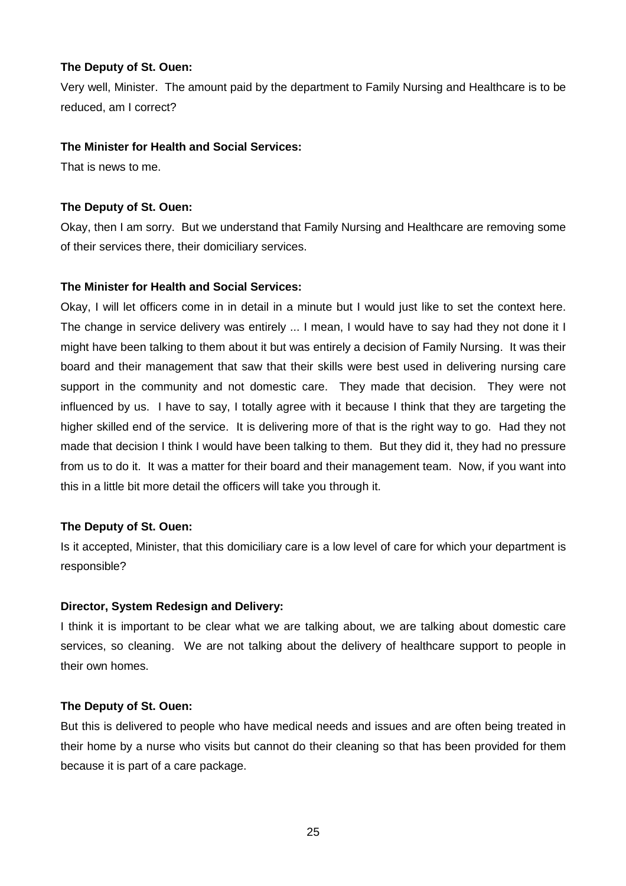Very well, Minister. The amount paid by the department to Family Nursing and Healthcare is to be reduced, am I correct?

## **The Minister for Health and Social Services:**

That is news to me.

## **The Deputy of St. Ouen:**

Okay, then I am sorry. But we understand that Family Nursing and Healthcare are removing some of their services there, their domiciliary services.

## **The Minister for Health and Social Services:**

Okay, I will let officers come in in detail in a minute but I would just like to set the context here. The change in service delivery was entirely ... I mean, I would have to say had they not done it I might have been talking to them about it but was entirely a decision of Family Nursing. It was their board and their management that saw that their skills were best used in delivering nursing care support in the community and not domestic care. They made that decision. They were not influenced by us. I have to say, I totally agree with it because I think that they are targeting the higher skilled end of the service. It is delivering more of that is the right way to go. Had they not made that decision I think I would have been talking to them. But they did it, they had no pressure from us to do it. It was a matter for their board and their management team. Now, if you want into this in a little bit more detail the officers will take you through it.

#### **The Deputy of St. Ouen:**

Is it accepted, Minister, that this domiciliary care is a low level of care for which your department is responsible?

#### **Director, System Redesign and Delivery:**

I think it is important to be clear what we are talking about, we are talking about domestic care services, so cleaning. We are not talking about the delivery of healthcare support to people in their own homes.

#### **The Deputy of St. Ouen:**

But this is delivered to people who have medical needs and issues and are often being treated in their home by a nurse who visits but cannot do their cleaning so that has been provided for them because it is part of a care package.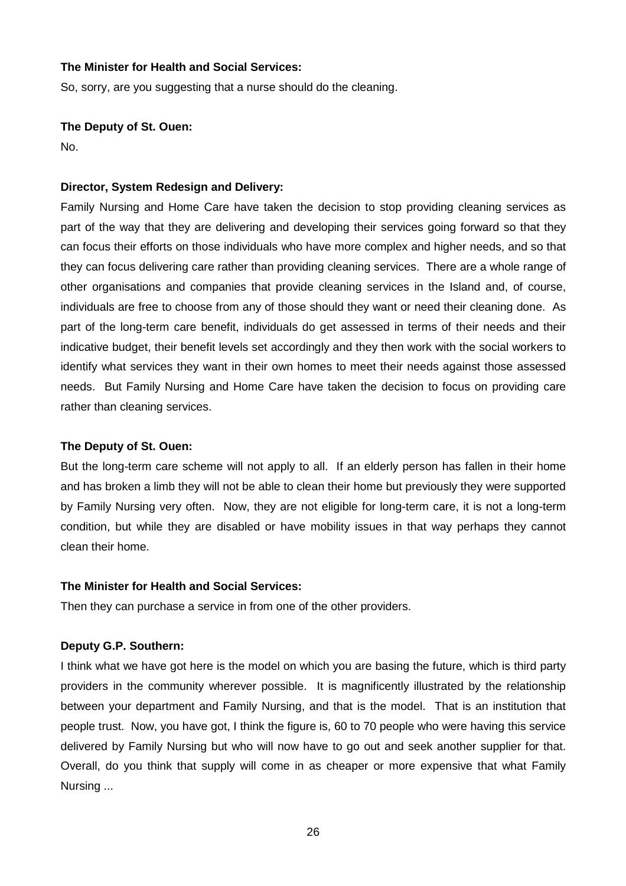So, sorry, are you suggesting that a nurse should do the cleaning.

**The Deputy of St. Ouen:** 

No.

#### **Director, System Redesign and Delivery:**

Family Nursing and Home Care have taken the decision to stop providing cleaning services as part of the way that they are delivering and developing their services going forward so that they can focus their efforts on those individuals who have more complex and higher needs, and so that they can focus delivering care rather than providing cleaning services. There are a whole range of other organisations and companies that provide cleaning services in the Island and, of course, individuals are free to choose from any of those should they want or need their cleaning done. As part of the long-term care benefit, individuals do get assessed in terms of their needs and their indicative budget, their benefit levels set accordingly and they then work with the social workers to identify what services they want in their own homes to meet their needs against those assessed needs. But Family Nursing and Home Care have taken the decision to focus on providing care rather than cleaning services.

#### **The Deputy of St. Ouen:**

But the long-term care scheme will not apply to all. If an elderly person has fallen in their home and has broken a limb they will not be able to clean their home but previously they were supported by Family Nursing very often. Now, they are not eligible for long-term care, it is not a long-term condition, but while they are disabled or have mobility issues in that way perhaps they cannot clean their home.

#### **The Minister for Health and Social Services:**

Then they can purchase a service in from one of the other providers.

#### **Deputy G.P. Southern:**

I think what we have got here is the model on which you are basing the future, which is third party providers in the community wherever possible. It is magnificently illustrated by the relationship between your department and Family Nursing, and that is the model. That is an institution that people trust. Now, you have got, I think the figure is, 60 to 70 people who were having this service delivered by Family Nursing but who will now have to go out and seek another supplier for that. Overall, do you think that supply will come in as cheaper or more expensive that what Family Nursing ...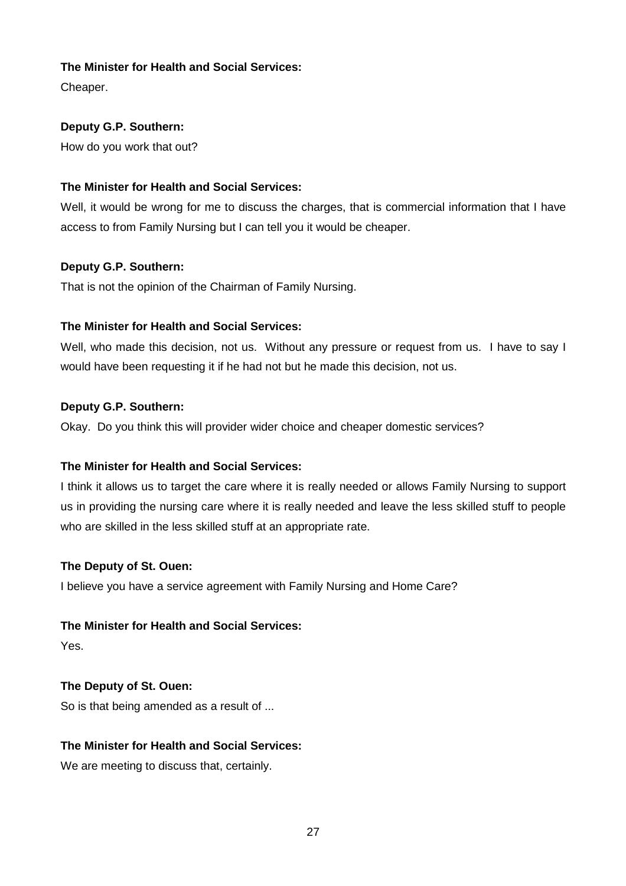Cheaper.

## **Deputy G.P. Southern:**

How do you work that out?

## **The Minister for Health and Social Services:**

Well, it would be wrong for me to discuss the charges, that is commercial information that I have access to from Family Nursing but I can tell you it would be cheaper.

## **Deputy G.P. Southern:**

That is not the opinion of the Chairman of Family Nursing.

## **The Minister for Health and Social Services:**

Well, who made this decision, not us. Without any pressure or request from us. I have to say I would have been requesting it if he had not but he made this decision, not us.

## **Deputy G.P. Southern:**

Okay. Do you think this will provider wider choice and cheaper domestic services?

## **The Minister for Health and Social Services:**

I think it allows us to target the care where it is really needed or allows Family Nursing to support us in providing the nursing care where it is really needed and leave the less skilled stuff to people who are skilled in the less skilled stuff at an appropriate rate.

#### **The Deputy of St. Ouen:**

I believe you have a service agreement with Family Nursing and Home Care?

## **The Minister for Health and Social Services:**

Yes.

## **The Deputy of St. Ouen:**

So is that being amended as a result of ...

## **The Minister for Health and Social Services:**

We are meeting to discuss that, certainly.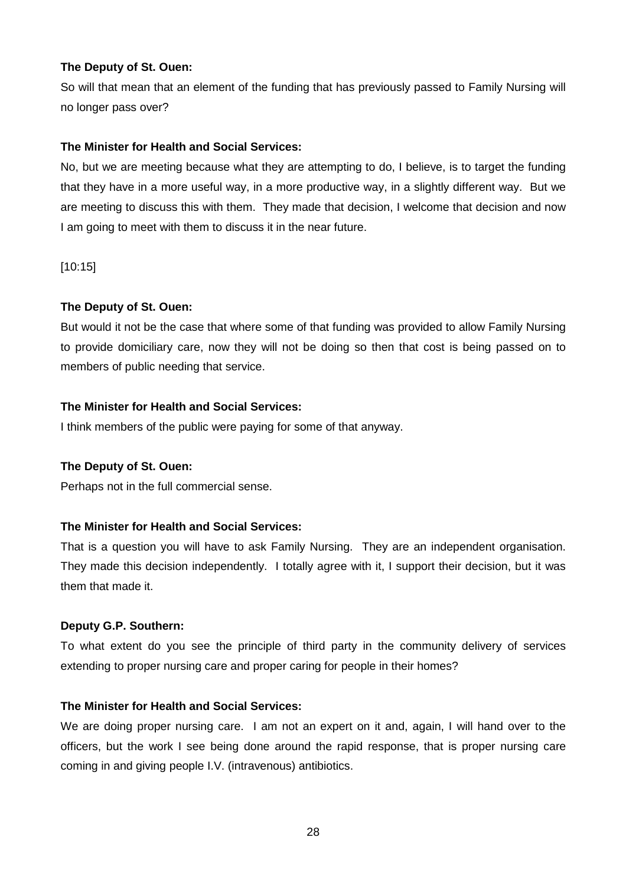So will that mean that an element of the funding that has previously passed to Family Nursing will no longer pass over?

#### **The Minister for Health and Social Services:**

No, but we are meeting because what they are attempting to do, I believe, is to target the funding that they have in a more useful way, in a more productive way, in a slightly different way. But we are meeting to discuss this with them. They made that decision, I welcome that decision and now I am going to meet with them to discuss it in the near future.

[10:15]

#### **The Deputy of St. Ouen:**

But would it not be the case that where some of that funding was provided to allow Family Nursing to provide domiciliary care, now they will not be doing so then that cost is being passed on to members of public needing that service.

#### **The Minister for Health and Social Services:**

I think members of the public were paying for some of that anyway.

#### **The Deputy of St. Ouen:**

Perhaps not in the full commercial sense.

#### **The Minister for Health and Social Services:**

That is a question you will have to ask Family Nursing. They are an independent organisation. They made this decision independently. I totally agree with it, I support their decision, but it was them that made it.

#### **Deputy G.P. Southern:**

To what extent do you see the principle of third party in the community delivery of services extending to proper nursing care and proper caring for people in their homes?

#### **The Minister for Health and Social Services:**

We are doing proper nursing care. I am not an expert on it and, again, I will hand over to the officers, but the work I see being done around the rapid response, that is proper nursing care coming in and giving people I.V. (intravenous) antibiotics.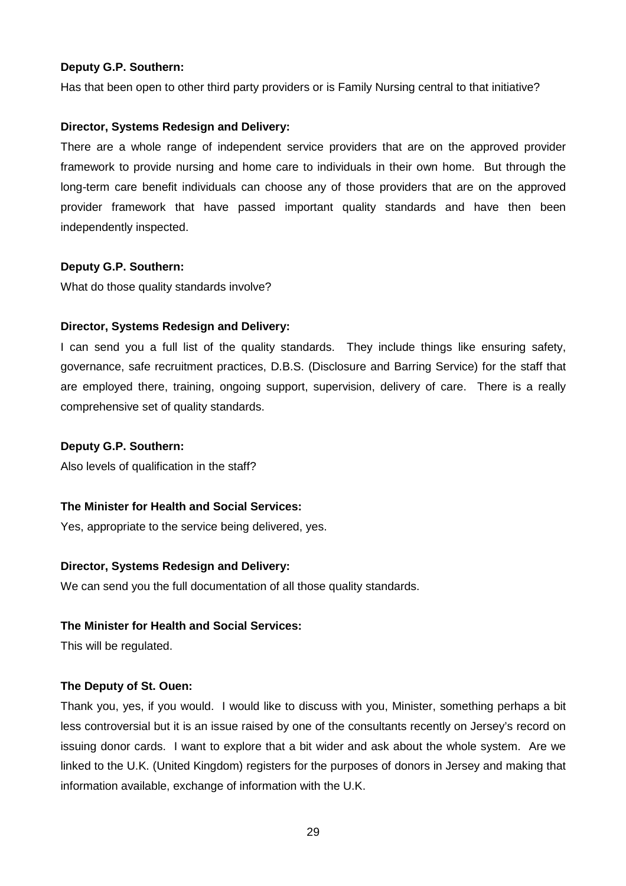#### **Deputy G.P. Southern:**

Has that been open to other third party providers or is Family Nursing central to that initiative?

#### **Director, Systems Redesign and Delivery:**

There are a whole range of independent service providers that are on the approved provider framework to provide nursing and home care to individuals in their own home. But through the long-term care benefit individuals can choose any of those providers that are on the approved provider framework that have passed important quality standards and have then been independently inspected.

#### **Deputy G.P. Southern:**

What do those quality standards involve?

#### **Director, Systems Redesign and Delivery:**

I can send you a full list of the quality standards. They include things like ensuring safety, governance, safe recruitment practices, D.B.S. (Disclosure and Barring Service) for the staff that are employed there, training, ongoing support, supervision, delivery of care. There is a really comprehensive set of quality standards.

#### **Deputy G.P. Southern:**

Also levels of qualification in the staff?

#### **The Minister for Health and Social Services:**

Yes, appropriate to the service being delivered, yes.

#### **Director, Systems Redesign and Delivery:**

We can send you the full documentation of all those quality standards.

#### **The Minister for Health and Social Services:**

This will be regulated.

#### **The Deputy of St. Ouen:**

Thank you, yes, if you would. I would like to discuss with you, Minister, something perhaps a bit less controversial but it is an issue raised by one of the consultants recently on Jersey's record on issuing donor cards. I want to explore that a bit wider and ask about the whole system. Are we linked to the U.K. (United Kingdom) registers for the purposes of donors in Jersey and making that information available, exchange of information with the U.K.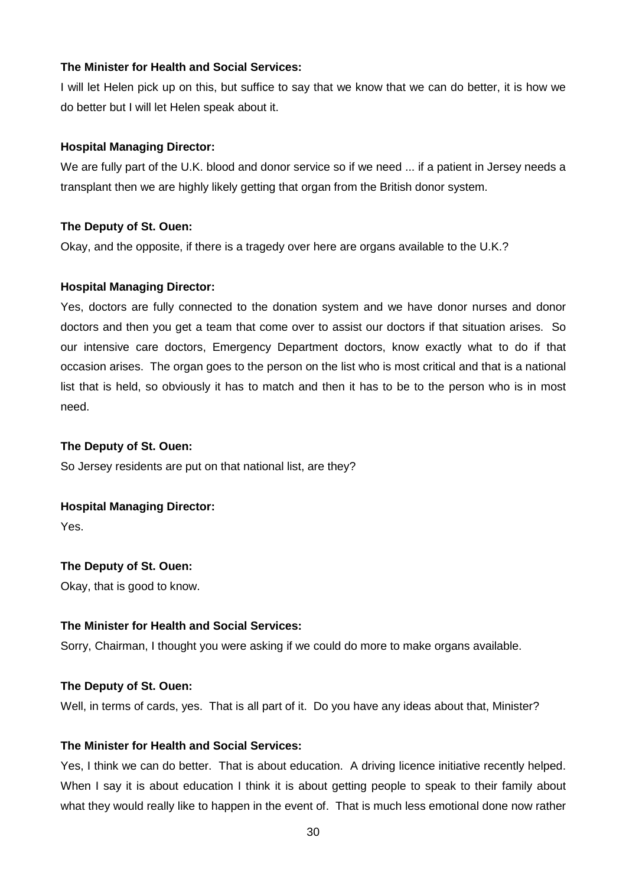I will let Helen pick up on this, but suffice to say that we know that we can do better, it is how we do better but I will let Helen speak about it.

#### **Hospital Managing Director:**

We are fully part of the U.K. blood and donor service so if we need ... if a patient in Jersey needs a transplant then we are highly likely getting that organ from the British donor system.

#### **The Deputy of St. Ouen:**

Okay, and the opposite, if there is a tragedy over here are organs available to the U.K.?

#### **Hospital Managing Director:**

Yes, doctors are fully connected to the donation system and we have donor nurses and donor doctors and then you get a team that come over to assist our doctors if that situation arises. So our intensive care doctors, Emergency Department doctors, know exactly what to do if that occasion arises. The organ goes to the person on the list who is most critical and that is a national list that is held, so obviously it has to match and then it has to be to the person who is in most need.

#### **The Deputy of St. Ouen:**

So Jersey residents are put on that national list, are they?

#### **Hospital Managing Director:**

Yes.

## **The Deputy of St. Ouen:**

Okay, that is good to know.

#### **The Minister for Health and Social Services:**

Sorry, Chairman, I thought you were asking if we could do more to make organs available.

#### **The Deputy of St. Ouen:**

Well, in terms of cards, yes. That is all part of it. Do you have any ideas about that, Minister?

## **The Minister for Health and Social Services:**

Yes, I think we can do better. That is about education. A driving licence initiative recently helped. When I say it is about education I think it is about getting people to speak to their family about what they would really like to happen in the event of. That is much less emotional done now rather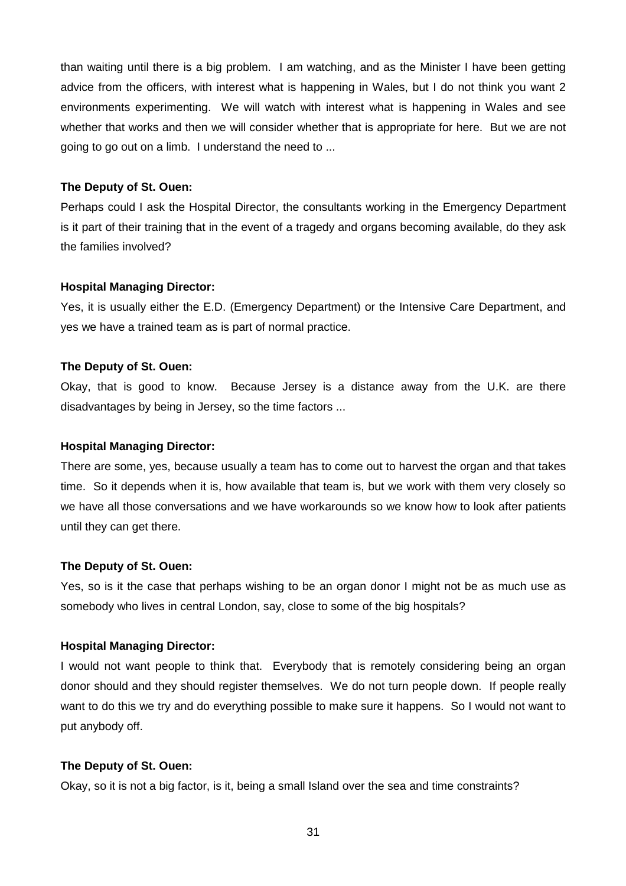than waiting until there is a big problem. I am watching, and as the Minister I have been getting advice from the officers, with interest what is happening in Wales, but I do not think you want 2 environments experimenting. We will watch with interest what is happening in Wales and see whether that works and then we will consider whether that is appropriate for here. But we are not going to go out on a limb. I understand the need to ...

#### **The Deputy of St. Ouen:**

Perhaps could I ask the Hospital Director, the consultants working in the Emergency Department is it part of their training that in the event of a tragedy and organs becoming available, do they ask the families involved?

#### **Hospital Managing Director:**

Yes, it is usually either the E.D. (Emergency Department) or the Intensive Care Department, and yes we have a trained team as is part of normal practice.

#### **The Deputy of St. Ouen:**

Okay, that is good to know. Because Jersey is a distance away from the U.K. are there disadvantages by being in Jersey, so the time factors ...

#### **Hospital Managing Director:**

There are some, yes, because usually a team has to come out to harvest the organ and that takes time. So it depends when it is, how available that team is, but we work with them very closely so we have all those conversations and we have workarounds so we know how to look after patients until they can get there.

#### **The Deputy of St. Ouen:**

Yes, so is it the case that perhaps wishing to be an organ donor I might not be as much use as somebody who lives in central London, say, close to some of the big hospitals?

#### **Hospital Managing Director:**

I would not want people to think that. Everybody that is remotely considering being an organ donor should and they should register themselves. We do not turn people down. If people really want to do this we try and do everything possible to make sure it happens. So I would not want to put anybody off.

#### **The Deputy of St. Ouen:**

Okay, so it is not a big factor, is it, being a small Island over the sea and time constraints?

31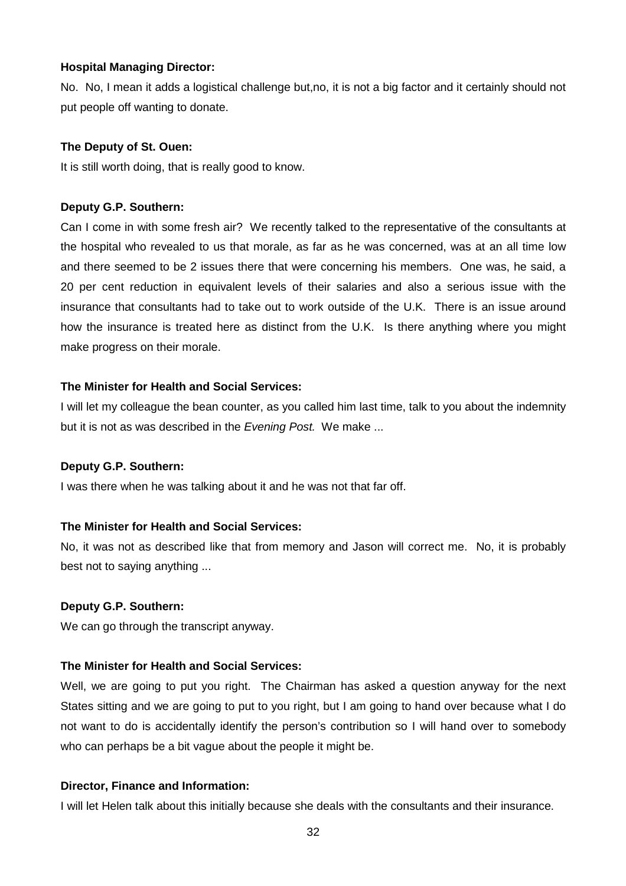#### **Hospital Managing Director:**

No. No, I mean it adds a logistical challenge but,no, it is not a big factor and it certainly should not put people off wanting to donate.

#### **The Deputy of St. Ouen:**

It is still worth doing, that is really good to know.

#### **Deputy G.P. Southern:**

Can I come in with some fresh air? We recently talked to the representative of the consultants at the hospital who revealed to us that morale, as far as he was concerned, was at an all time low and there seemed to be 2 issues there that were concerning his members. One was, he said, a 20 per cent reduction in equivalent levels of their salaries and also a serious issue with the insurance that consultants had to take out to work outside of the U.K. There is an issue around how the insurance is treated here as distinct from the U.K. Is there anything where you might make progress on their morale.

#### **The Minister for Health and Social Services:**

I will let my colleague the bean counter, as you called him last time, talk to you about the indemnity but it is not as was described in the Evening Post. We make ...

#### **Deputy G.P. Southern:**

I was there when he was talking about it and he was not that far off.

#### **The Minister for Health and Social Services:**

No, it was not as described like that from memory and Jason will correct me. No, it is probably best not to saying anything ...

#### **Deputy G.P. Southern:**

We can go through the transcript anyway.

## **The Minister for Health and Social Services:**

Well, we are going to put you right. The Chairman has asked a question anyway for the next States sitting and we are going to put to you right, but I am going to hand over because what I do not want to do is accidentally identify the person's contribution so I will hand over to somebody who can perhaps be a bit vague about the people it might be.

#### **Director, Finance and Information:**

I will let Helen talk about this initially because she deals with the consultants and their insurance.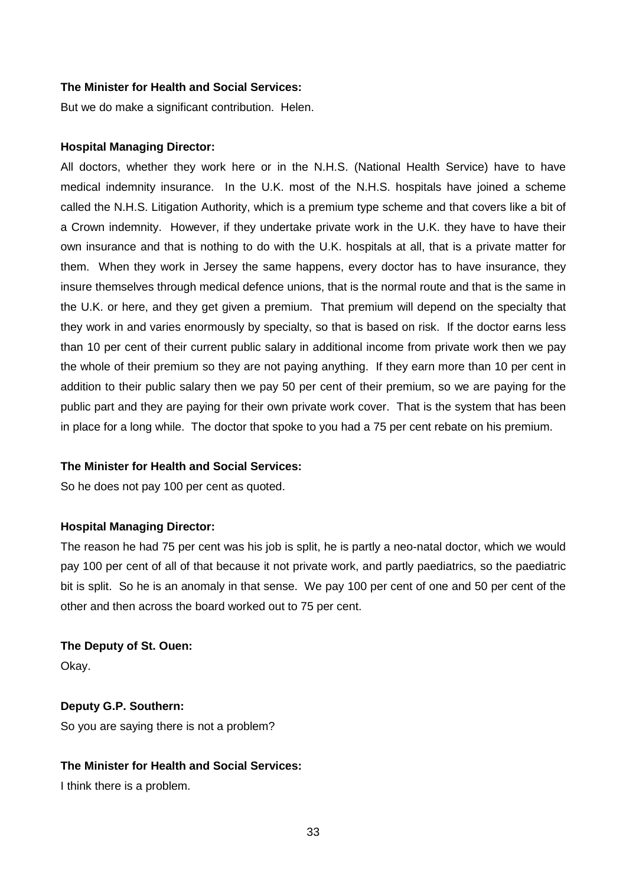But we do make a significant contribution. Helen.

#### **Hospital Managing Director:**

All doctors, whether they work here or in the N.H.S. (National Health Service) have to have medical indemnity insurance. In the U.K. most of the N.H.S. hospitals have joined a scheme called the N.H.S. Litigation Authority, which is a premium type scheme and that covers like a bit of a Crown indemnity. However, if they undertake private work in the U.K. they have to have their own insurance and that is nothing to do with the U.K. hospitals at all, that is a private matter for them. When they work in Jersey the same happens, every doctor has to have insurance, they insure themselves through medical defence unions, that is the normal route and that is the same in the U.K. or here, and they get given a premium. That premium will depend on the specialty that they work in and varies enormously by specialty, so that is based on risk. If the doctor earns less than 10 per cent of their current public salary in additional income from private work then we pay the whole of their premium so they are not paying anything. If they earn more than 10 per cent in addition to their public salary then we pay 50 per cent of their premium, so we are paying for the public part and they are paying for their own private work cover. That is the system that has been in place for a long while. The doctor that spoke to you had a 75 per cent rebate on his premium.

#### **The Minister for Health and Social Services:**

So he does not pay 100 per cent as quoted.

#### **Hospital Managing Director:**

The reason he had 75 per cent was his job is split, he is partly a neo-natal doctor, which we would pay 100 per cent of all of that because it not private work, and partly paediatrics, so the paediatric bit is split. So he is an anomaly in that sense. We pay 100 per cent of one and 50 per cent of the other and then across the board worked out to 75 per cent.

#### **The Deputy of St. Ouen:**

Okay.

#### **Deputy G.P. Southern:**

So you are saying there is not a problem?

## **The Minister for Health and Social Services:**

I think there is a problem.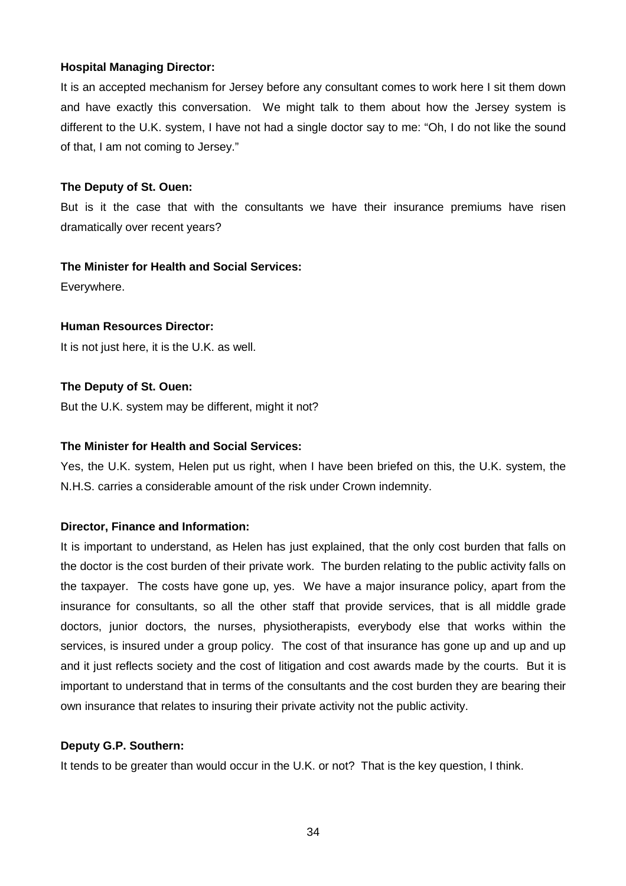## **Hospital Managing Director:**

It is an accepted mechanism for Jersey before any consultant comes to work here I sit them down and have exactly this conversation. We might talk to them about how the Jersey system is different to the U.K. system, I have not had a single doctor say to me: "Oh, I do not like the sound of that, I am not coming to Jersey."

## **The Deputy of St. Ouen:**

But is it the case that with the consultants we have their insurance premiums have risen dramatically over recent years?

## **The Minister for Health and Social Services:**

Everywhere.

## **Human Resources Director:**

It is not just here, it is the U.K. as well.

## **The Deputy of St. Ouen:**

But the U.K. system may be different, might it not?

## **The Minister for Health and Social Services:**

Yes, the U.K. system, Helen put us right, when I have been briefed on this, the U.K. system, the N.H.S. carries a considerable amount of the risk under Crown indemnity.

## **Director, Finance and Information:**

It is important to understand, as Helen has just explained, that the only cost burden that falls on the doctor is the cost burden of their private work. The burden relating to the public activity falls on the taxpayer. The costs have gone up, yes. We have a major insurance policy, apart from the insurance for consultants, so all the other staff that provide services, that is all middle grade doctors, junior doctors, the nurses, physiotherapists, everybody else that works within the services, is insured under a group policy. The cost of that insurance has gone up and up and up and it just reflects society and the cost of litigation and cost awards made by the courts. But it is important to understand that in terms of the consultants and the cost burden they are bearing their own insurance that relates to insuring their private activity not the public activity.

#### **Deputy G.P. Southern:**

It tends to be greater than would occur in the U.K. or not? That is the key question, I think.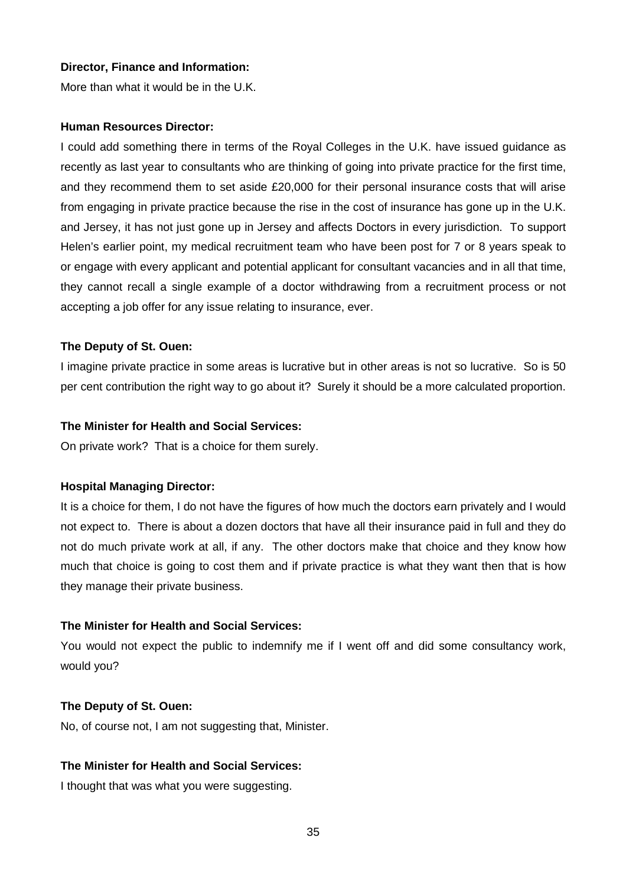#### **Director, Finance and Information:**

More than what it would be in the U.K.

#### **Human Resources Director:**

I could add something there in terms of the Royal Colleges in the U.K. have issued guidance as recently as last year to consultants who are thinking of going into private practice for the first time, and they recommend them to set aside £20,000 for their personal insurance costs that will arise from engaging in private practice because the rise in the cost of insurance has gone up in the U.K. and Jersey, it has not just gone up in Jersey and affects Doctors in every jurisdiction. To support Helen's earlier point, my medical recruitment team who have been post for 7 or 8 years speak to or engage with every applicant and potential applicant for consultant vacancies and in all that time, they cannot recall a single example of a doctor withdrawing from a recruitment process or not accepting a job offer for any issue relating to insurance, ever.

#### **The Deputy of St. Ouen:**

I imagine private practice in some areas is lucrative but in other areas is not so lucrative. So is 50 per cent contribution the right way to go about it? Surely it should be a more calculated proportion.

#### **The Minister for Health and Social Services:**

On private work? That is a choice for them surely.

#### **Hospital Managing Director:**

It is a choice for them, I do not have the figures of how much the doctors earn privately and I would not expect to. There is about a dozen doctors that have all their insurance paid in full and they do not do much private work at all, if any. The other doctors make that choice and they know how much that choice is going to cost them and if private practice is what they want then that is how they manage their private business.

#### **The Minister for Health and Social Services:**

You would not expect the public to indemnify me if I went off and did some consultancy work, would you?

#### **The Deputy of St. Ouen:**

No, of course not, I am not suggesting that, Minister.

## **The Minister for Health and Social Services:**

I thought that was what you were suggesting.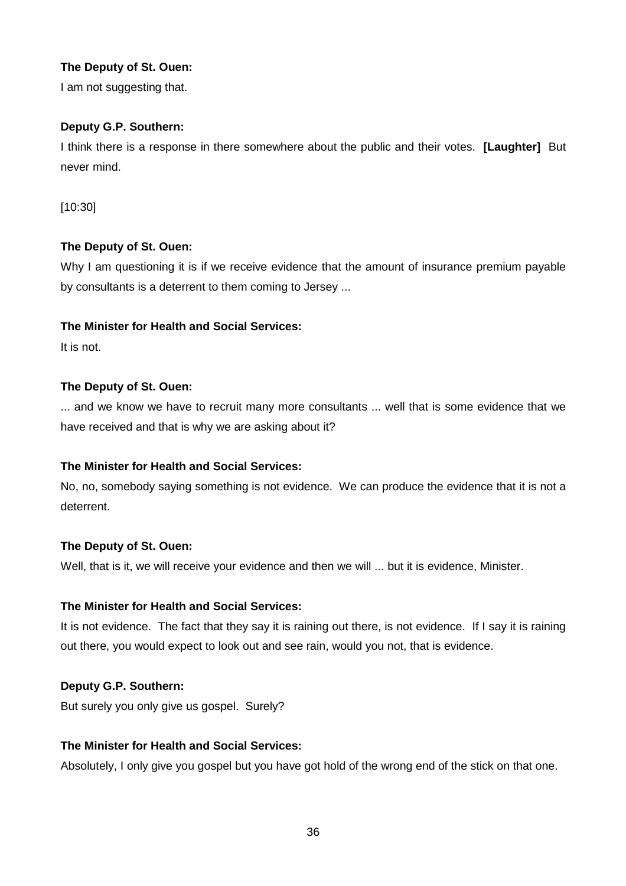I am not suggesting that.

## **Deputy G.P. Southern:**

I think there is a response in there somewhere about the public and their votes. **[Laughter]** But never mind.

[10:30]

## **The Deputy of St. Ouen:**

Why I am questioning it is if we receive evidence that the amount of insurance premium payable by consultants is a deterrent to them coming to Jersey ...

## **The Minister for Health and Social Services:**

It is not.

## **The Deputy of St. Ouen:**

... and we know we have to recruit many more consultants ... well that is some evidence that we have received and that is why we are asking about it?

## **The Minister for Health and Social Services:**

No, no, somebody saying something is not evidence. We can produce the evidence that it is not a deterrent.

## **The Deputy of St. Ouen:**

Well, that is it, we will receive your evidence and then we will ... but it is evidence, Minister.

## **The Minister for Health and Social Services:**

It is not evidence. The fact that they say it is raining out there, is not evidence. If I say it is raining out there, you would expect to look out and see rain, would you not, that is evidence.

## **Deputy G.P. Southern:**

But surely you only give us gospel. Surely?

## **The Minister for Health and Social Services:**

Absolutely, I only give you gospel but you have got hold of the wrong end of the stick on that one.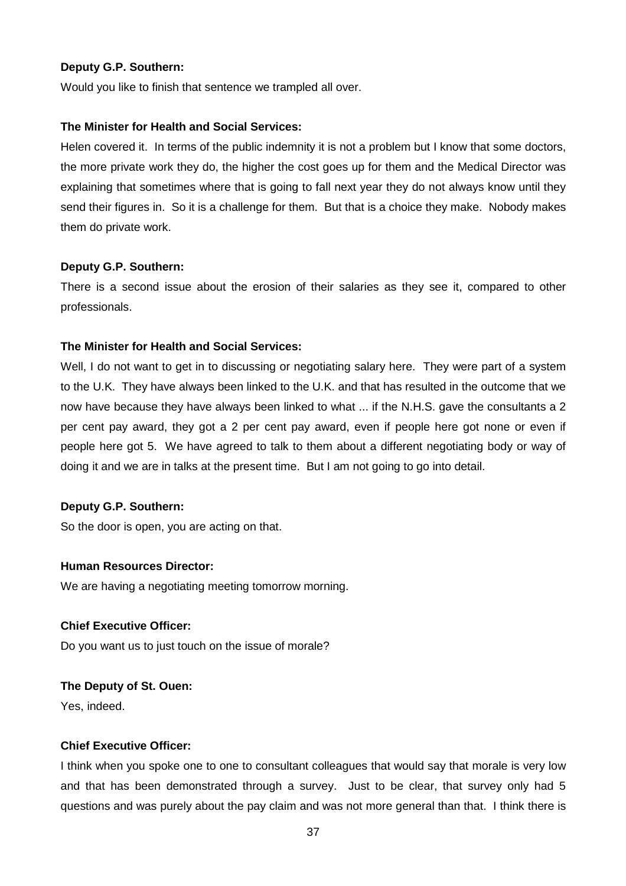#### **Deputy G.P. Southern:**

Would you like to finish that sentence we trampled all over.

#### **The Minister for Health and Social Services:**

Helen covered it. In terms of the public indemnity it is not a problem but I know that some doctors, the more private work they do, the higher the cost goes up for them and the Medical Director was explaining that sometimes where that is going to fall next year they do not always know until they send their figures in. So it is a challenge for them. But that is a choice they make. Nobody makes them do private work.

#### **Deputy G.P. Southern:**

There is a second issue about the erosion of their salaries as they see it, compared to other professionals.

#### **The Minister for Health and Social Services:**

Well, I do not want to get in to discussing or negotiating salary here. They were part of a system to the U.K. They have always been linked to the U.K. and that has resulted in the outcome that we now have because they have always been linked to what ... if the N.H.S. gave the consultants a 2 per cent pay award, they got a 2 per cent pay award, even if people here got none or even if people here got 5. We have agreed to talk to them about a different negotiating body or way of doing it and we are in talks at the present time. But I am not going to go into detail.

#### **Deputy G.P. Southern:**

So the door is open, you are acting on that.

#### **Human Resources Director:**

We are having a negotiating meeting tomorrow morning.

#### **Chief Executive Officer:**

Do you want us to just touch on the issue of morale?

## **The Deputy of St. Ouen:**

Yes, indeed.

## **Chief Executive Officer:**

I think when you spoke one to one to consultant colleagues that would say that morale is very low and that has been demonstrated through a survey. Just to be clear, that survey only had 5 questions and was purely about the pay claim and was not more general than that. I think there is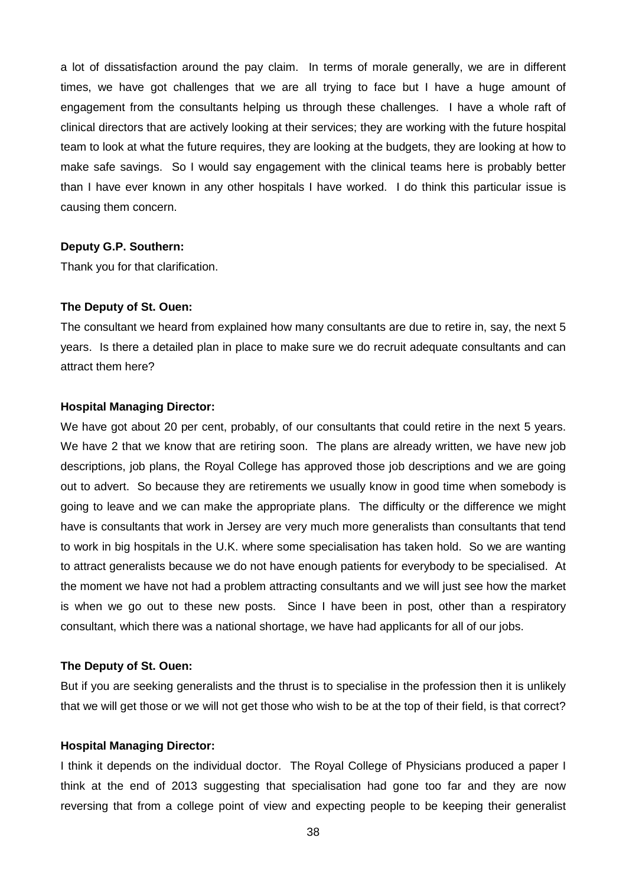a lot of dissatisfaction around the pay claim. In terms of morale generally, we are in different times, we have got challenges that we are all trying to face but I have a huge amount of engagement from the consultants helping us through these challenges. I have a whole raft of clinical directors that are actively looking at their services; they are working with the future hospital team to look at what the future requires, they are looking at the budgets, they are looking at how to make safe savings. So I would say engagement with the clinical teams here is probably better than I have ever known in any other hospitals I have worked. I do think this particular issue is causing them concern.

#### **Deputy G.P. Southern:**

Thank you for that clarification.

#### **The Deputy of St. Ouen:**

The consultant we heard from explained how many consultants are due to retire in, say, the next 5 years. Is there a detailed plan in place to make sure we do recruit adequate consultants and can attract them here?

#### **Hospital Managing Director:**

We have got about 20 per cent, probably, of our consultants that could retire in the next 5 years. We have 2 that we know that are retiring soon. The plans are already written, we have new job descriptions, job plans, the Royal College has approved those job descriptions and we are going out to advert. So because they are retirements we usually know in good time when somebody is going to leave and we can make the appropriate plans. The difficulty or the difference we might have is consultants that work in Jersey are very much more generalists than consultants that tend to work in big hospitals in the U.K. where some specialisation has taken hold. So we are wanting to attract generalists because we do not have enough patients for everybody to be specialised. At the moment we have not had a problem attracting consultants and we will just see how the market is when we go out to these new posts. Since I have been in post, other than a respiratory consultant, which there was a national shortage, we have had applicants for all of our jobs.

## **The Deputy of St. Ouen:**

But if you are seeking generalists and the thrust is to specialise in the profession then it is unlikely that we will get those or we will not get those who wish to be at the top of their field, is that correct?

#### **Hospital Managing Director:**

I think it depends on the individual doctor. The Royal College of Physicians produced a paper I think at the end of 2013 suggesting that specialisation had gone too far and they are now reversing that from a college point of view and expecting people to be keeping their generalist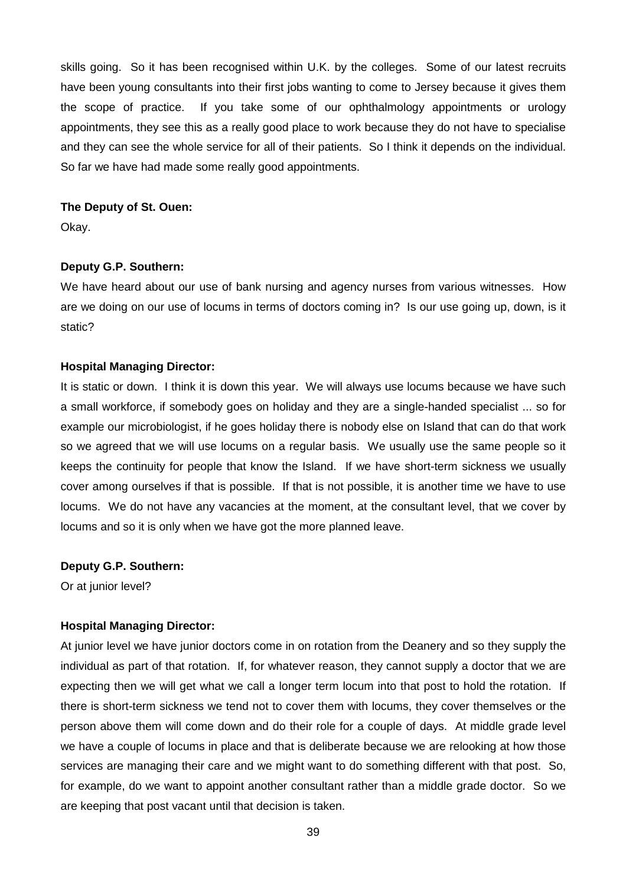skills going. So it has been recognised within U.K. by the colleges. Some of our latest recruits have been young consultants into their first jobs wanting to come to Jersey because it gives them the scope of practice. If you take some of our ophthalmology appointments or urology appointments, they see this as a really good place to work because they do not have to specialise and they can see the whole service for all of their patients. So I think it depends on the individual. So far we have had made some really good appointments.

#### **The Deputy of St. Ouen:**

Okay.

#### **Deputy G.P. Southern:**

We have heard about our use of bank nursing and agency nurses from various witnesses. How are we doing on our use of locums in terms of doctors coming in? Is our use going up, down, is it static?

#### **Hospital Managing Director:**

It is static or down. I think it is down this year. We will always use locums because we have such a small workforce, if somebody goes on holiday and they are a single-handed specialist ... so for example our microbiologist, if he goes holiday there is nobody else on Island that can do that work so we agreed that we will use locums on a regular basis. We usually use the same people so it keeps the continuity for people that know the Island. If we have short-term sickness we usually cover among ourselves if that is possible. If that is not possible, it is another time we have to use locums. We do not have any vacancies at the moment, at the consultant level, that we cover by locums and so it is only when we have got the more planned leave.

#### **Deputy G.P. Southern:**

Or at junior level?

#### **Hospital Managing Director:**

At junior level we have junior doctors come in on rotation from the Deanery and so they supply the individual as part of that rotation. If, for whatever reason, they cannot supply a doctor that we are expecting then we will get what we call a longer term locum into that post to hold the rotation. If there is short-term sickness we tend not to cover them with locums, they cover themselves or the person above them will come down and do their role for a couple of days. At middle grade level we have a couple of locums in place and that is deliberate because we are relooking at how those services are managing their care and we might want to do something different with that post. So, for example, do we want to appoint another consultant rather than a middle grade doctor. So we are keeping that post vacant until that decision is taken.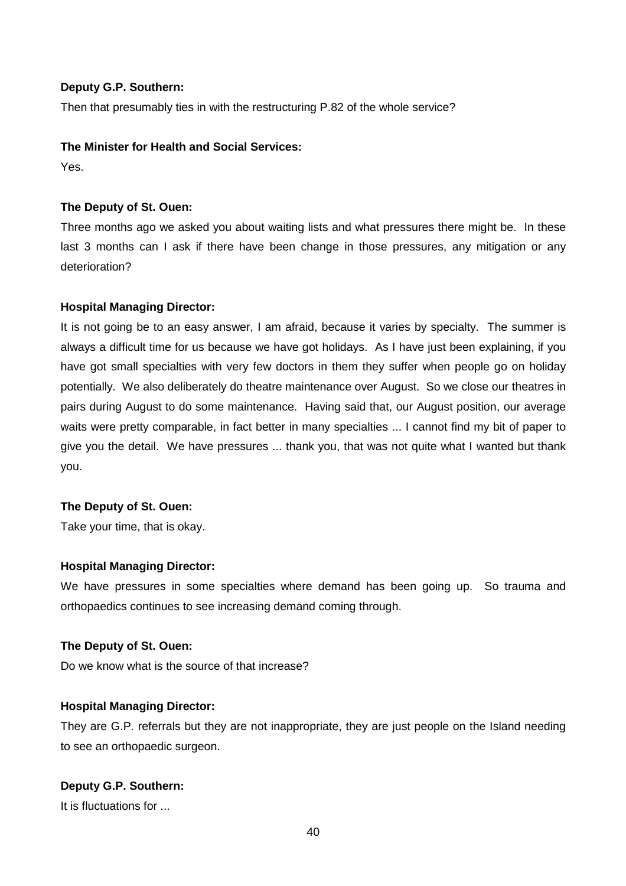#### **Deputy G.P. Southern:**

Then that presumably ties in with the restructuring P.82 of the whole service?

## **The Minister for Health and Social Services:**

Yes.

## **The Deputy of St. Ouen:**

Three months ago we asked you about waiting lists and what pressures there might be. In these last 3 months can I ask if there have been change in those pressures, any mitigation or any deterioration?

## **Hospital Managing Director:**

It is not going be to an easy answer, I am afraid, because it varies by specialty. The summer is always a difficult time for us because we have got holidays. As I have just been explaining, if you have got small specialties with very few doctors in them they suffer when people go on holiday potentially. We also deliberately do theatre maintenance over August. So we close our theatres in pairs during August to do some maintenance. Having said that, our August position, our average waits were pretty comparable, in fact better in many specialties ... I cannot find my bit of paper to give you the detail. We have pressures ... thank you, that was not quite what I wanted but thank you.

#### **The Deputy of St. Ouen:**

Take your time, that is okay.

#### **Hospital Managing Director:**

We have pressures in some specialties where demand has been going up. So trauma and orthopaedics continues to see increasing demand coming through.

#### **The Deputy of St. Ouen:**

Do we know what is the source of that increase?

#### **Hospital Managing Director:**

They are G.P. referrals but they are not inappropriate, they are just people on the Island needing to see an orthopaedic surgeon.

## **Deputy G.P. Southern:**

It is fluctuations for ...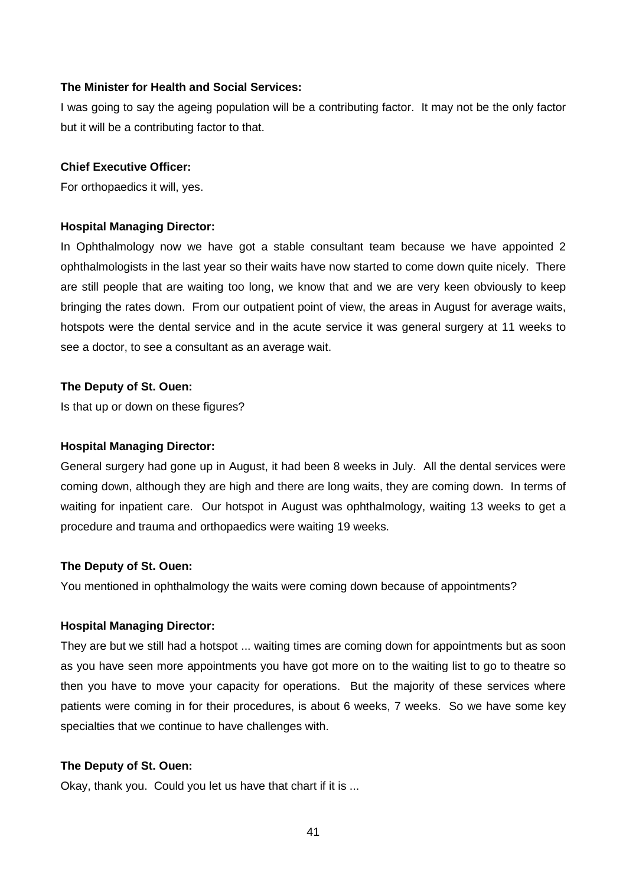I was going to say the ageing population will be a contributing factor. It may not be the only factor but it will be a contributing factor to that.

#### **Chief Executive Officer:**

For orthopaedics it will, yes.

#### **Hospital Managing Director:**

In Ophthalmology now we have got a stable consultant team because we have appointed 2 ophthalmologists in the last year so their waits have now started to come down quite nicely. There are still people that are waiting too long, we know that and we are very keen obviously to keep bringing the rates down. From our outpatient point of view, the areas in August for average waits, hotspots were the dental service and in the acute service it was general surgery at 11 weeks to see a doctor, to see a consultant as an average wait.

#### **The Deputy of St. Ouen:**

Is that up or down on these figures?

#### **Hospital Managing Director:**

General surgery had gone up in August, it had been 8 weeks in July. All the dental services were coming down, although they are high and there are long waits, they are coming down. In terms of waiting for inpatient care. Our hotspot in August was ophthalmology, waiting 13 weeks to get a procedure and trauma and orthopaedics were waiting 19 weeks.

#### **The Deputy of St. Ouen:**

You mentioned in ophthalmology the waits were coming down because of appointments?

#### **Hospital Managing Director:**

They are but we still had a hotspot ... waiting times are coming down for appointments but as soon as you have seen more appointments you have got more on to the waiting list to go to theatre so then you have to move your capacity for operations. But the majority of these services where patients were coming in for their procedures, is about 6 weeks, 7 weeks. So we have some key specialties that we continue to have challenges with.

#### **The Deputy of St. Ouen:**

Okay, thank you. Could you let us have that chart if it is ...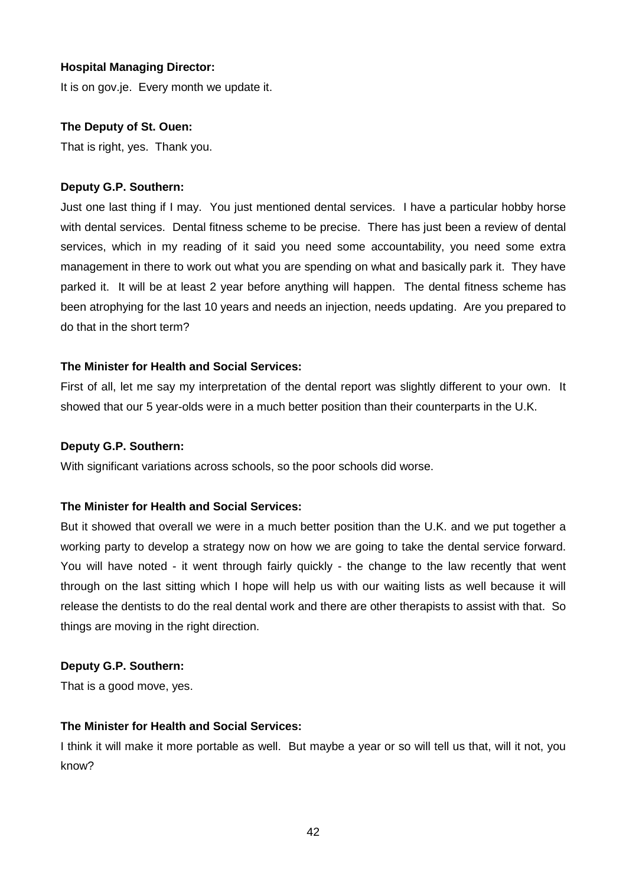## **Hospital Managing Director:**

It is on gov.je. Every month we update it.

## **The Deputy of St. Ouen:**

That is right, yes. Thank you.

## **Deputy G.P. Southern:**

Just one last thing if I may. You just mentioned dental services. I have a particular hobby horse with dental services. Dental fitness scheme to be precise. There has just been a review of dental services, which in my reading of it said you need some accountability, you need some extra management in there to work out what you are spending on what and basically park it. They have parked it. It will be at least 2 year before anything will happen. The dental fitness scheme has been atrophying for the last 10 years and needs an injection, needs updating. Are you prepared to do that in the short term?

## **The Minister for Health and Social Services:**

First of all, let me say my interpretation of the dental report was slightly different to your own. It showed that our 5 year-olds were in a much better position than their counterparts in the U.K.

## **Deputy G.P. Southern:**

With significant variations across schools, so the poor schools did worse.

#### **The Minister for Health and Social Services:**

But it showed that overall we were in a much better position than the U.K. and we put together a working party to develop a strategy now on how we are going to take the dental service forward. You will have noted - it went through fairly quickly - the change to the law recently that went through on the last sitting which I hope will help us with our waiting lists as well because it will release the dentists to do the real dental work and there are other therapists to assist with that. So things are moving in the right direction.

#### **Deputy G.P. Southern:**

That is a good move, yes.

#### **The Minister for Health and Social Services:**

I think it will make it more portable as well. But maybe a year or so will tell us that, will it not, you know?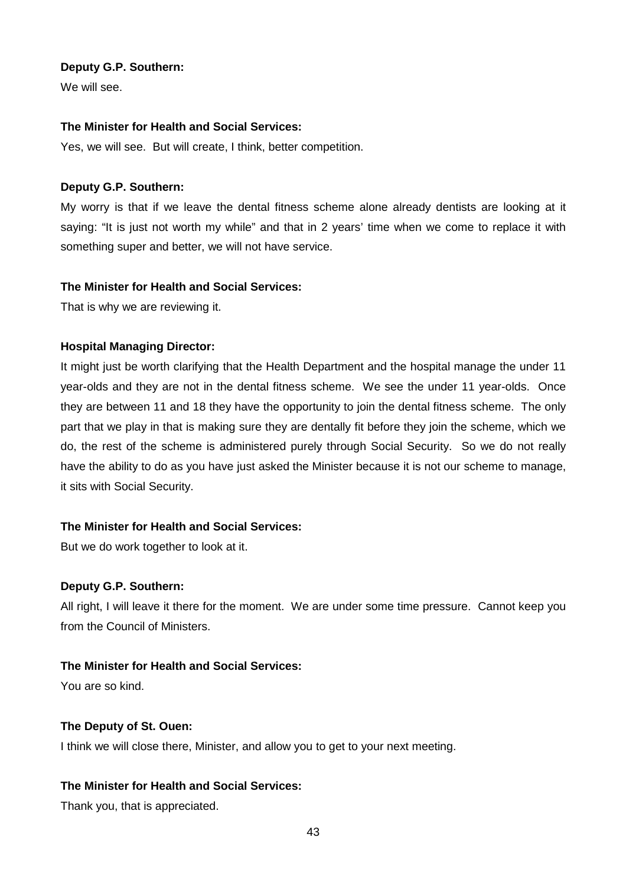#### **Deputy G.P. Southern:**

We will see.

#### **The Minister for Health and Social Services:**

Yes, we will see. But will create, I think, better competition.

#### **Deputy G.P. Southern:**

My worry is that if we leave the dental fitness scheme alone already dentists are looking at it saying: "It is just not worth my while" and that in 2 years' time when we come to replace it with something super and better, we will not have service.

#### **The Minister for Health and Social Services:**

That is why we are reviewing it.

#### **Hospital Managing Director:**

It might just be worth clarifying that the Health Department and the hospital manage the under 11 year-olds and they are not in the dental fitness scheme. We see the under 11 year-olds. Once they are between 11 and 18 they have the opportunity to join the dental fitness scheme. The only part that we play in that is making sure they are dentally fit before they join the scheme, which we do, the rest of the scheme is administered purely through Social Security. So we do not really have the ability to do as you have just asked the Minister because it is not our scheme to manage, it sits with Social Security.

#### **The Minister for Health and Social Services:**

But we do work together to look at it.

#### **Deputy G.P. Southern:**

All right, I will leave it there for the moment. We are under some time pressure. Cannot keep you from the Council of Ministers.

## **The Minister for Health and Social Services:**

You are so kind.

#### **The Deputy of St. Ouen:**

I think we will close there, Minister, and allow you to get to your next meeting.

## **The Minister for Health and Social Services:**

Thank you, that is appreciated.